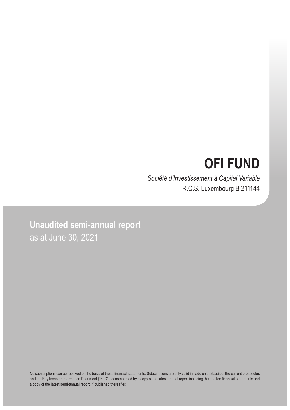# **OFI FUND**

*Société d'Investissement à Capital Variable* R.C.S. Luxembourg B 211144

**Unaudited semi-annual report** as at June 30, 2021

No subscriptions can be received on the basis of these financial statements. Subscriptions are only valid if made on the basis of the current prospectus and the Key Investor Information Document ("KIID"), accompanied by a copy of the latest annual report including the audited financial statements and a copy of the latest semi-annual report, if published thereafter.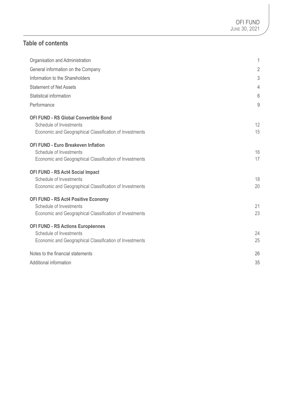## **Table of contents**

| Organisation and Administration                         | 1              |
|---------------------------------------------------------|----------------|
| General information on the Company                      | $\overline{2}$ |
| Information to the Shareholders                         | 3              |
| <b>Statement of Net Assets</b>                          | 4              |
| Statistical information                                 | 6              |
| Performance                                             | 9              |
| <b>OFI FUND - RS Global Convertible Bond</b>            |                |
| Schedule of Investments                                 | 12             |
| Economic and Geographical Classification of Investments | 15             |
| <b>OFI FUND - Euro Breakeven Inflation</b>              |                |
| Schedule of Investments                                 | 16             |
| Economic and Geographical Classification of Investments | 17             |
| <b>OFI FUND - RS Act4 Social Impact</b>                 |                |
| Schedule of Investments                                 | 18             |
| Economic and Geographical Classification of Investments | 20             |
| <b>OFI FUND - RS Act4 Positive Economy</b>              |                |
| Schedule of Investments                                 | 21             |
| Economic and Geographical Classification of Investments | 23             |
| <b>OFI FUND - RS Actions Européennes</b>                |                |
| Schedule of Investments                                 | 24             |
| Economic and Geographical Classification of Investments | 25             |
| Notes to the financial statements                       | 26             |
| Additional information                                  | 35             |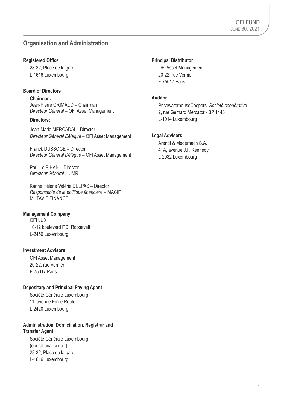## **Organisation and Administration**

### **Registered Office**

28-32, Place de la gare L-1616 Luxembourg

### **Board of Directors**

**Chairman:** Jean-Pierre GRIMAUD – Chairman *Directeur Général* – OFI Asset Management

### **Directors:**

Jean-Marie MERCADAL– Director *Directeur Général Délégué* – OFI Asset Management

Franck DUSSOGE – Director *Directeur Général Délégué* – OFI Asset Management

Paul Le BIHAN – Director *Directeur Général* – UMR

Karine Hélène Valérie DELPAS – Director *Responsable de la politique financière* – MACIF MUTAVIE FINANCE

### **Management Company**

OFI LUX 10-12 boulevard F.D. Roosevelt L-2450 Luxembourg

### **Investment Advisors**

OFI Asset Management 20-22, rue Vernier F-75017 Paris

### **Depositary and Principal Paying Agent**

Société Générale Luxembourg 11, avenue Emile Reuter L-2420 Luxembourg

### **Administration, Domiciliation, Registrar and Transfer Agent**

Société Générale Luxembourg (operational center) 28-32, Place de la gare L-1616 Luxembourg

### **Principal Distributor**

OFI Asset Management 20-22, rue Vernier F-75017 Paris

### **Auditor**

PricewaterhouseCoopers, *Société coopérative* 2, rue Gerhard Mercator - BP 1443 L-1014 Luxembourg

### **Legal Advisors**

Arendt & Medernach S.A. 41A, avenue J.F. Kennedy L-2082 Luxembourg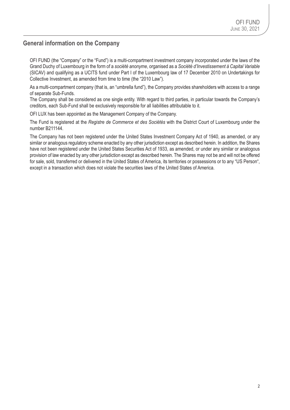### **General information on the Company**

OFI FUND (the "Company" or the "Fund") is a multi-compartment investment company incorporated under the laws of the Grand Duchy of Luxembourg in the form of a *société anonyme*, organised as a *Société d'Investissement à Capital Variable* (SICAV) and qualifying as a UCITS fund under Part I of the Luxembourg law of 17 December 2010 on Undertakings for Collective Investment, as amended from time to time (the "2010 Law").

As a multi-compartment company (that is, an "umbrella fund"), the Company provides shareholders with access to a range of separate Sub-Funds.

The Company shall be considered as one single entity. With regard to third parties, in particular towards the Company's creditors, each Sub-Fund shall be exclusively responsible for all liabilities attributable to it.

OFI LUX has been appointed as the Management Company of the Company.

The Fund is registered at the *Registre de Commerce et des Sociétés* with the District Court of Luxembourg under the number B211144.

The Company has not been registered under the United States Investment Company Act of 1940, as amended, or any similar or analogous regulatory scheme enacted by any other jurisdiction except as described herein. In addition, the Shares have not been registered under the United States Securities Act of 1933, as amended, or under any similar or analogous provision of law enacted by any other jurisdiction except as described herein. The Shares may not be and will not be offered for sale, sold, transferred or delivered in the United States of America, its territories or possessions or to any "US Person", except in a transaction which does not violate the securities laws of the United States of America.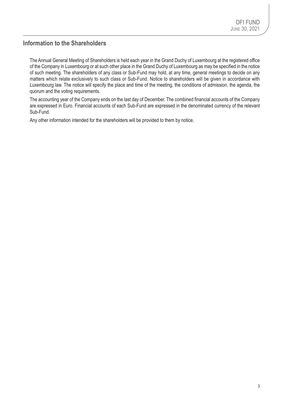### **Information to the Shareholders**

The Annual General Meeting of Shareholders is held each year in the Grand Duchy of Luxembourg at the registered office of the Company in Luxembourg or at such other place in the Grand Duchy of Luxembourg as may be specified in the notice of such meeting. The shareholders of any class or Sub-Fund may hold, at any time, general meetings to decide on any matters which relate exclusively to such class or Sub-Fund. Notice to shareholders will be given in accordance with Luxembourg law. The notice will specify the place and time of the meeting, the conditions of admission, the agenda, the quorum and the voting requirements.

The accounting year of the Company ends on the last day of December. The combined financial accounts of the Company are expressed in Euro. Financial accounts of each Sub-Fund are expressed in the denominated currency of the relevant Sub-Fund.

Any other information intended for the shareholders will be provided to them by notice.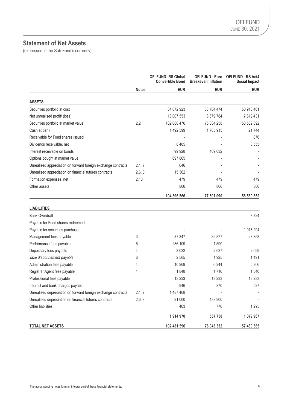## **Statement of Net Assets**

(expressed in the Sub-Fund's currency)

|                                                               |              | <b>OFI FUND -RS Global</b><br><b>Convertible Bond</b> | <b>OFI FUND - Euro</b><br><b>Breakeven Inflation</b> | <b>OFI FUND - RS Act4</b><br>Social Impact |
|---------------------------------------------------------------|--------------|-------------------------------------------------------|------------------------------------------------------|--------------------------------------------|
|                                                               | <b>Notes</b> | <b>EUR</b>                                            | <b>EUR</b>                                           | <b>EUR</b>                                 |
| <b>ASSETS</b>                                                 |              |                                                       |                                                      |                                            |
| Securities portfolio at cost                                  |              | 84 072 923                                            | 68 704 474                                           | 50 913 461                                 |
| Net unrealised profit/ (loss)                                 |              | 18 007 553                                            | 6 679 784                                            | 7619431                                    |
| Securities portfolio at market value                          | 2.2          | 102 080 476                                           | 75 384 258                                           | 58 532 892                                 |
| Cash at bank                                                  |              | 1 492 599                                             | 1705915                                              | 21 744                                     |
| Receivable for Fund shares issued                             |              |                                                       |                                                      | 876                                        |
| Dividends receivable, net                                     |              | 8 4 0 5                                               |                                                      | 3555                                       |
| Interest receivable on bonds                                  |              | 99 928                                                | 409 632                                              |                                            |
| Options bought at market value                                |              | 697 865                                               |                                                      |                                            |
| Unrealised appreciation on forward foreign exchange contracts | 2.4, 7       | 646                                                   |                                                      |                                            |
| Unrealised appreciation on financial futures contracts        | 2.6, 8       | 15 3 62                                               |                                                      |                                            |
| Formation expenses, net                                       | 2.10         | 479                                                   | 479                                                  | 479                                        |
| Other assets                                                  |              | 806                                                   | 806                                                  | 806                                        |
|                                                               |              | 104 396 566                                           | 77 501 090                                           | 58 560 352                                 |
| <b>LIABILITIES</b>                                            |              |                                                       |                                                      |                                            |
| <b>Bank Overdraft</b>                                         |              |                                                       |                                                      | 8724                                       |
| Payable for Fund shares redeemed                              |              |                                                       |                                                      |                                            |
| Payable for securities purchased                              |              |                                                       |                                                      | 1 016 294                                  |
| Management fees payable                                       | 3            | 87 347                                                | 39 877                                               | 28 858                                     |
| Performance fees payable                                      | 5            | 286 109                                               | 1 5 9 0                                              |                                            |
| Depositary fees payable                                       | 4            | 3022                                                  | 2627                                                 | 2099                                       |
| Taxe d'abonnement payable                                     | 6            | 2565                                                  | 1925                                                 | 1491                                       |
| Administration fees payable                                   | 4            | 10 969                                                | 6 244                                                | 5906                                       |
| Registrar Agent fees payable                                  | 4            | 1848                                                  | 1716                                                 | 1540                                       |
| Professional fees payable                                     |              | 13 2 33                                               | 13 233                                               | 13 2 3 3                                   |
| Interest and bank charges payable                             |              | 946                                                   | 870                                                  | 527                                        |
| Unrealised depreciation on forward foreign exchange contracts | 2.4, 7       | 1487468                                               |                                                      |                                            |
| Unrealised depreciation on financial futures contracts        | 2.6, 8       | 21 000                                                | 488 900                                              |                                            |
| Other liabilities                                             |              | 463                                                   | 776                                                  | 1 2 9 5                                    |
|                                                               |              | 1914970                                               | 557 758                                              | 1079967                                    |
| <b>TOTAL NET ASSETS</b>                                       |              | 102 481 596                                           | 76 943 332                                           | 57 480 385                                 |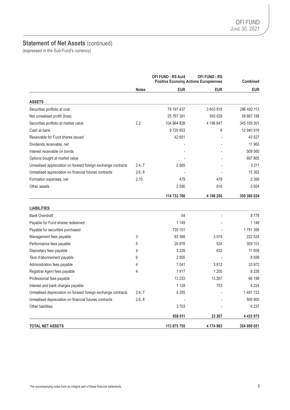## **Statement of Net Assets (continued)**

(expressed in the Sub-Fund's currency)

|                                                               |              | <b>OFI FUND - RS Act4</b><br><b>OFI FUND - RS</b><br>Positive Economy Actions Européennes |            | Combined      |
|---------------------------------------------------------------|--------------|-------------------------------------------------------------------------------------------|------------|---------------|
|                                                               | <b>Notes</b> | <b>EUR</b>                                                                                | <b>EUR</b> | <b>EUR</b>    |
| <b>ASSETS</b>                                                 |              |                                                                                           |            |               |
| Securities portfolio at cost                                  |              | 79 197 437                                                                                | 3 603 818  | 286 492 113   |
| Net unrealised profit/ (loss)                                 |              | 25 767 391                                                                                | 593 029    | 58 667 188    |
| Securities portfolio at market value                          | 2.2          | 104 964 828                                                                               | 4 196 847  | 345 159 301   |
| Cash at bank                                                  |              | 9720653                                                                                   | 8          | 12 940 919    |
| Receivable for Fund shares issued                             |              | 42 651                                                                                    |            | 43 527        |
| Dividends receivable, net                                     |              |                                                                                           |            | 11 960        |
| Interest receivable on bonds                                  |              |                                                                                           |            | 509 560       |
| Options bought at market value                                |              |                                                                                           |            | 697 865       |
| Unrealised appreciation on forward foreign exchange contracts | 2.4, 7       | 2565                                                                                      |            | 3 2 1 1       |
| Unrealised appreciation on financial futures contracts        | 2.6, 8       |                                                                                           |            | 15 362        |
| Formation expenses, net                                       | 2.10         | 479                                                                                       | 479        | 2 3 9 5       |
| Other assets                                                  |              | 2590                                                                                      | 916        | 5924          |
|                                                               |              | 114 733 766                                                                               | 4 198 250  | 359 390 024   |
| <b>LIABILITIES</b>                                            |              |                                                                                           |            |               |
| <b>Bank Overdraft</b>                                         |              | 54                                                                                        |            | 8778          |
| Payable for Fund shares redeemed                              |              | 1 1 4 9                                                                                   |            | 1 1 4 9       |
| Payable for securities purchased                              |              | 735 101                                                                                   |            | 1751395       |
| Management fees payable                                       | 3            | 63 368                                                                                    | 3074       | 222 524       |
| Performance fees payable                                      | 5            | 20878                                                                                     | 524        | 309 101       |
| Depositary fees payable                                       | 4            | 3 2 2 9                                                                                   | 632        | 11 609        |
| Taxe d'abonnement payable                                     | 6            | 2955                                                                                      |            | 8936          |
| Administration fees payable                                   | 4            | 7041                                                                                      | 3812       | 33 972        |
| Registrar Agent fees payable                                  | 4            | 1917                                                                                      | 1 2 0 5    | 8 2 2 6       |
| Professional fees payable                                     |              | 13 2 3 3                                                                                  | 13 267     | 66 199        |
| Interest and bank charges payable                             |              | 1 1 2 8                                                                                   | 753        | 4 2 2 4       |
| Unrealised depreciation on forward foreign exchange contracts | 2.4, 7       | 4 2 5 5                                                                                   |            | 1491723       |
| Unrealised depreciation on financial futures contracts        | 2.6, 8       |                                                                                           |            | 509 900       |
| Other liabilities                                             |              | 3703                                                                                      |            | 6 2 3 7       |
|                                                               |              | 858 011                                                                                   | 23 267     | 4 4 3 3 9 7 3 |

**TOTAL NET ASSETS 113 875 755 4 174 983 354 956 051**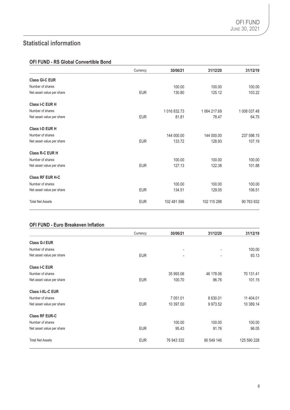## **Statistical information**

### **OFI FUND - RS Global Convertible Bond**

|                           | Currency   | 30/06/21     | 31/12/20     | 31/12/19     |
|---------------------------|------------|--------------|--------------|--------------|
| <b>Class GI-C EUR</b>     |            |              |              |              |
| Number of shares          |            | 100.00       | 100.00       | 100.00       |
| Net asset value per share | <b>EUR</b> | 130.80       | 125.12       | 103.22       |
| Class I-C EUR H           |            |              |              |              |
| Number of shares          |            | 1 016 832.73 | 1 064 217.69 | 1 008 037.48 |
| Net asset value per share | <b>EUR</b> | 81.81        | 78.47        | 64.75        |
| Class I-D EUR H           |            |              |              |              |
| Number of shares          |            | 144 000.00   | 144 000.00   | 237 598.15   |
| Net asset value per share | <b>EUR</b> | 133.72       | 128.93       | 107.19       |
| Class R-C EUR H           |            |              |              |              |
| Number of shares          |            | 100.00       | 100.00       | 100.00       |
| Net asset value per share | <b>EUR</b> | 127.13       | 122.38       | 101.88       |
| <b>Class RF EUR H-C</b>   |            |              |              |              |
| Number of shares          |            | 100.00       | 100.00       | 100.00       |
| Net asset value per share | <b>EUR</b> | 134.51       | 129.05       | 106.51       |
| <b>Total Net Assets</b>   | <b>EUR</b> | 102 481 596  | 102 115 298  | 90 763 932   |

### **OFI FUND - Euro Breakeven Inflation**

|                           | Currency   | 30/06/21   | 31/12/20                 | 31/12/19    |
|---------------------------|------------|------------|--------------------------|-------------|
| <b>Class G-I EUR</b>      |            |            |                          |             |
| Number of shares          |            | ۰          | $\overline{\phantom{a}}$ | 100.00      |
| Net asset value per share | <b>EUR</b> | -          |                          | 93.13       |
| <b>Class I-C EUR</b>      |            |            |                          |             |
| Number of shares          |            | 35 993.06  | 46 178.06                | 70 131.41   |
| Net asset value per share | <b>EUR</b> | 100.70     | 96.76                    | 101.15      |
| Class I-XL-C EUR          |            |            |                          |             |
| Number of shares          |            | 7 051.01   | 8 630.01                 | 11 404.01   |
| Net asset value per share | <b>EUR</b> | 10 397.00  | 9 973.52                 | 10 389.14   |
| <b>Class RF EUR-C</b>     |            |            |                          |             |
| Number of shares          |            | 100.00     | 100.00                   | 100.00      |
| Net asset value per share | <b>EUR</b> | 95.43      | 91.76                    | 96.05       |
| <b>Total Net Assets</b>   | <b>EUR</b> | 76 943 332 | 90 549 146               | 125 590 228 |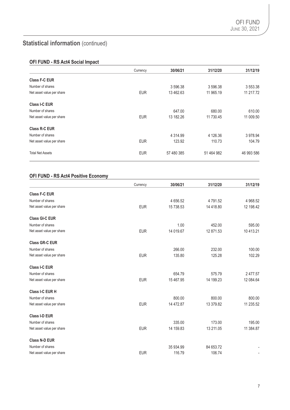## **Statistical information** (continued)

### **OFI FUND - RS Act4 Social Impact**

|                           | Currency   | 30/06/21    | 31/12/20   | 31/12/19   |
|---------------------------|------------|-------------|------------|------------|
| Class F-C EUR             |            |             |            |            |
| Number of shares          |            | 3 596.38    | 3 596.38   | 3 553.38   |
| Net asset value per share | <b>EUR</b> | 13 462.63   | 11 965.19  | 11 217.72  |
| <b>Class I-C EUR</b>      |            |             |            |            |
| Number of shares          |            | 647.00      | 680.00     | 610.00     |
| Net asset value per share | <b>EUR</b> | 13 182.26   | 11 730.45  | 11 009.50  |
| Class R-C EUR             |            |             |            |            |
| Number of shares          |            | 4 3 1 4 .99 | 4 126.36   | 3 978.94   |
| Net asset value per share | <b>EUR</b> | 123.92      | 110.73     | 104.79     |
| <b>Total Net Assets</b>   | <b>EUR</b> | 57 480 385  | 51 464 982 | 46 993 586 |

### **OFI FUND - RS Act4 Positive Economy**

|                           | Currency   | 30/06/21  | 31/12/20  | 31/12/19  |
|---------------------------|------------|-----------|-----------|-----------|
| <b>Class F-C EUR</b>      |            |           |           |           |
| Number of shares          |            | 4 656.52  | 4 791.52  | 4 968.52  |
| Net asset value per share | <b>EUR</b> | 15 738.53 | 14 418.80 | 12 198.42 |
| <b>Class GI-C EUR</b>     |            |           |           |           |
| Number of shares          |            | 1.00      | 452.00    | 595.00    |
| Net asset value per share | <b>EUR</b> | 14 019.67 | 12 871.53 | 10 413.21 |
| <b>Class GR-C EUR</b>     |            |           |           |           |
| Number of shares          |            | 266.00    | 232.00    | 100.00    |
| Net asset value per share | <b>EUR</b> | 135.80    | 125.28    | 102.29    |
| Class I-C EUR             |            |           |           |           |
| Number of shares          |            | 654.79    | 575.79    | 2 477.57  |
| Net asset value per share | <b>EUR</b> | 15 467.95 | 14 199.23 | 12 084.64 |
| Class I-C EUR H           |            |           |           |           |
| Number of shares          |            | 800.00    | 800.00    | 800.00    |
| Net asset value per share | <b>EUR</b> | 14 472.87 | 13 379.82 | 11 235.52 |
| Class I-D EUR             |            |           |           |           |
| Number of shares          |            | 335.00    | 173.00    | 195.00    |
| Net asset value per share | <b>EUR</b> | 14 159.83 | 13 211.05 | 11 384.87 |
| <b>Class N-D EUR</b>      |            |           |           |           |
| Number of shares          |            | 35 934.99 | 84 653.72 |           |
| Net asset value per share | <b>EUR</b> | 116.79    | 106.74    |           |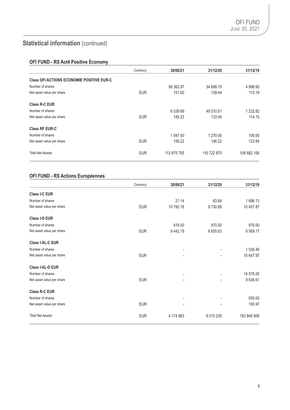## **Statistical information** (continued)

### **OFI FUND - RS Act4 Positive Economy**

|                                                  | Currency   | 30/06/21    | 31/12/20    | 31/12/19    |
|--------------------------------------------------|------------|-------------|-------------|-------------|
| <b>Class OFI ACTIONS ECONOMIE POSITIVE EUR-C</b> |            |             |             |             |
| Number of shares                                 |            | 58 362.97   | 34 688.70   | 4 9 9 8.95  |
| Net asset value per share                        | <b>EUR</b> | 151.60      | 139.44      | 113.19      |
| Class R-C EUR                                    |            |             |             |             |
| Number of shares                                 |            | 6 039.69    | 49 010.01   | 1 2 3 2.8 2 |
| Net asset value per share                        | <b>EUR</b> | 145.23      | 133.94      | 114.15      |
| <b>Class RF EUR-C</b>                            |            |             |             |             |
| Number of shares                                 |            | 1 047.00    | 1 270.00    | 100.00      |
| Net asset value per share                        | <b>EUR</b> | 159.22      | 146.22      | 123.84      |
| <b>Total Net Assets</b>                          | <b>EUR</b> | 113 875 755 | 116 722 870 | 108 682 156 |

### **OFI FUND - RS Actions Européennes**

|                           | Currency   | 30/06/21  | 31/12/20                 | 31/12/19    |
|---------------------------|------------|-----------|--------------------------|-------------|
| <b>Class I-C EUR</b>      |            |           |                          |             |
| Number of shares          |            | 21.14     | 63.64                    | 1686.13     |
| Net asset value per share | <b>EUR</b> | 10 792.18 | 9730.88                  | 10 457.87   |
| <b>Class I-D EUR</b>      |            |           |                          |             |
| Number of shares          |            | 418.00    | 970.00                   | 976.00      |
| Net asset value per share | <b>EUR</b> | 9442.19   | 8 655.63                 | 9569.17     |
| <b>Class I-XL-C EUR</b>   |            |           |                          |             |
| Number of shares          |            |           |                          | 1 536.46    |
| Net asset value per share | <b>EUR</b> |           |                          | 10 647.97   |
| Class I-XL-D EUR          |            |           |                          |             |
| Number of shares          |            |           | $\overline{\phantom{a}}$ | 14 576.00   |
| Net asset value per share | <b>EUR</b> |           |                          | 9 636.61    |
| <b>Class R-C EUR</b>      |            |           |                          |             |
| Number of shares          |            |           | ٠                        | 500.00      |
| Net asset value per share | <b>EUR</b> |           |                          | 100.97      |
| <b>Total Net Assets</b>   | <b>EUR</b> | 4 174 983 | 9 0 1 5 2 3 5            | 183 846 806 |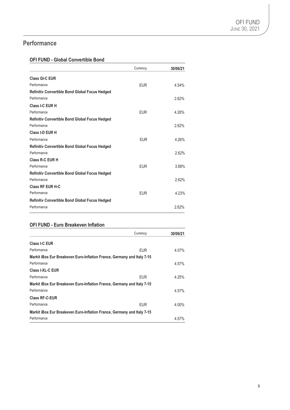## **Performance**

### **OFI FUND - Global Convertible Bond**

|                                                       | Currency   | 30/06/21 |
|-------------------------------------------------------|------------|----------|
| <b>Class GI-C EUR</b>                                 |            |          |
| Performance                                           | <b>EUR</b> | 4.54%    |
| <b>Refinitiv Convertible Bond Global Focus Hedged</b> |            |          |
| Performance                                           |            | 2.62%    |
| Class I-C EUR H                                       |            |          |
| Performance                                           | <b>EUR</b> | 4.26%    |
| <b>Refinitiv Convertible Bond Global Focus Hedged</b> |            |          |
| Performance                                           |            | 2.62%    |
| Class I-D EUR H                                       |            |          |
| Performance                                           | <b>EUR</b> | 4.26%    |
| <b>Refinitiv Convertible Bond Global Focus Hedged</b> |            |          |
| Performance                                           |            | 2.62%    |
| Class R-C EUR H                                       |            |          |
| Performance                                           | <b>EUR</b> | 3.88%    |
| <b>Refinitiv Convertible Bond Global Focus Hedged</b> |            |          |
| Performance                                           |            | 2.62%    |
| <b>Class RF EUR H-C</b>                               |            |          |
| Performance                                           | <b>EUR</b> | 4.23%    |
| <b>Refinitiv Convertible Bond Global Focus Hedged</b> |            |          |
| Performance                                           |            | 2.62%    |

### **OFI FUND - Euro Breakeven Inflation**

|                                                                         | Currency   | 30/06/21 |
|-------------------------------------------------------------------------|------------|----------|
| Class I-C EUR                                                           |            |          |
| Performance                                                             | EUR.       | 4.07%    |
| Markit iBox Eur Breakeven Euro-Inflation France, Germany and Italy 7-15 |            |          |
| Performance                                                             |            | 4.57%    |
| Class I-XL-C EUR                                                        |            |          |
| Performance                                                             | <b>EUR</b> | 4.25%    |
| Markit iBox Eur Breakeven Euro-Inflation France, Germany and Italy 7-15 |            |          |
| Performance                                                             |            | 4.57%    |
| <b>Class RF-C-EUR</b>                                                   |            |          |
| Performance                                                             | <b>EUR</b> | 4.00%    |
| Markit iBox Eur Breakeven Euro-Inflation France, Germany and Italy 7-15 |            |          |
| Performance                                                             |            | 4.57%    |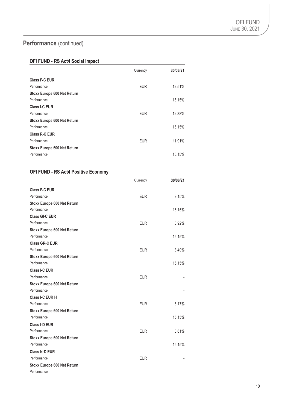## Performance (continued)

### **OFI FUND - RS Act4 Social Impact**

|                                    | Currency   | 30/06/21 |
|------------------------------------|------------|----------|
| <b>Class F-C EUR</b>               |            |          |
| Performance                        | <b>EUR</b> | 12.51%   |
| <b>Stoxx Europe 600 Net Return</b> |            |          |
| Performance                        |            | 15.15%   |
| <b>Class I-C EUR</b>               |            |          |
| Performance                        | <b>EUR</b> | 12.38%   |
| <b>Stoxx Europe 600 Net Return</b> |            |          |
| Performance                        |            | 15.15%   |
| Class R-C EUR                      |            |          |
| Performance                        | <b>EUR</b> | 11.91%   |
| <b>Stoxx Europe 600 Net Return</b> |            |          |
| Performance                        |            | 15.15%   |

### **OFI FUND - RS Act4 Positive Economy**

|                                    | Currency   | 30/06/21 |
|------------------------------------|------------|----------|
| <b>Class F-C EUR</b>               |            |          |
| Performance                        | <b>EUR</b> | 9.15%    |
| <b>Stoxx Europe 600 Net Return</b> |            |          |
| Performance                        |            | 15.15%   |
| Class GI-C EUR                     |            |          |
| Performance                        | <b>EUR</b> | 8.92%    |
| <b>Stoxx Europe 600 Net Return</b> |            |          |
| Performance                        |            | 15.15%   |
| <b>Class GR-C EUR</b>              |            |          |
| Performance                        | <b>EUR</b> | 8.40%    |
| <b>Stoxx Europe 600 Net Return</b> |            |          |
| Performance                        |            | 15.15%   |
| Class I-C EUR                      |            |          |
| Performance                        | <b>EUR</b> |          |
| <b>Stoxx Europe 600 Net Return</b> |            |          |
| Performance                        |            |          |
| Class I-C EUR H                    |            |          |
| Performance                        | <b>EUR</b> | 8.17%    |
| <b>Stoxx Europe 600 Net Return</b> |            |          |
| Performance                        |            | 15.15%   |
| Class I-D EUR                      |            |          |
| Performance                        | <b>EUR</b> | 8.61%    |
| <b>Stoxx Europe 600 Net Return</b> |            |          |
| Performance                        |            | 15.15%   |
| <b>Class N-D EUR</b>               |            |          |
| Performance                        | <b>EUR</b> |          |
| <b>Stoxx Europe 600 Net Return</b> |            |          |
| Performance                        |            |          |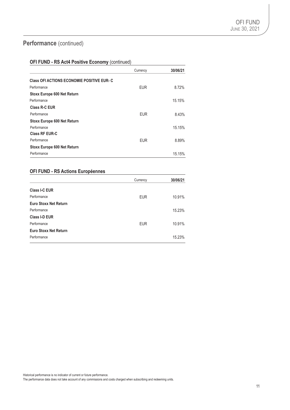## Performance (continued)

### **OFI FUND - RS Act4 Positive Economy** (continued)

|                                                   | Currency   | 30/06/21 |
|---------------------------------------------------|------------|----------|
| <b>Class OFI ACTIONS ECONOMIE POSITIVE EUR- C</b> |            |          |
| Performance                                       | <b>EUR</b> | 8.72%    |
| Stoxx Europe 600 Net Return                       |            |          |
| Performance                                       |            | 15.15%   |
| <b>Class R-C EUR</b>                              |            |          |
| Performance                                       | <b>EUR</b> | 8.43%    |
| <b>Stoxx Europe 600 Net Return</b>                |            |          |
| Performance                                       |            | 15.15%   |
| <b>Class RF EUR-C</b>                             |            |          |
| Performance                                       | <b>EUR</b> | 8.89%    |
| <b>Stoxx Europe 600 Net Return</b>                |            |          |
| Performance                                       |            | 15.15%   |

### **OFI FUND - RS Actions Européennes**

|                              | Currency   | 30/06/21 |
|------------------------------|------------|----------|
| <b>Class I-C EUR</b>         |            |          |
| Performance                  | <b>EUR</b> | 10.91%   |
| <b>Euro Stoxx Net Return</b> |            |          |
| Performance                  |            | 15.23%   |
| Class I-D EUR                |            |          |
| Performance                  | <b>EUR</b> | 10.91%   |
| <b>Euro Stoxx Net Return</b> |            |          |
| Performance                  |            | 15.23%   |

Historical performance is no indicator of current or future performance.

The performance data does not take account of any commissions and costs charged when subscribing and redeeming units.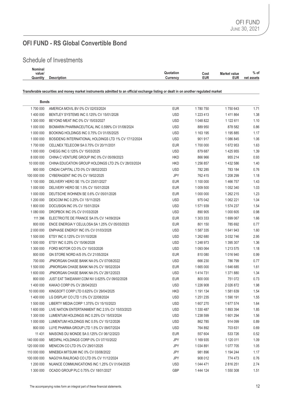### Schedule of Investments

| $\cdots$<br>Nominal |             |           |      |                   |                       |
|---------------------|-------------|-----------|------|-------------------|-----------------------|
| value/<br>.         |             | Quotation | Cost | Market value<br>. | $\mathbf{a}$<br>⁄0 of |
| 1.11<br>Quantity    | Description | じurrencv  | EUR  | EUR               | net<br>assets         |
|                     |             |           |      |                   |                       |

#### **Transferable securities and money market instruments admitted to an official exchange listing or dealt in on another regulated market**

| <b>Bonds</b> |                                                      |            |             |               |      |
|--------------|------------------------------------------------------|------------|-------------|---------------|------|
| 1700 000     | AMERICA MOVIL BV 0% CV 02/03/2024                    | <b>EUR</b> | 1780750     | 1750 643      | 1.71 |
| 1 400 000    | BENTLEY SYSTEMS INC 0.125% CV 15/01/2026             | <b>USD</b> | 1 223 413   | 1411864       | 1.38 |
| 1 300 000    | BEYOND MEAT INC 0% CV 15/03/2027                     | <b>USD</b> | 1 048 822   | 1 122 611     | 1.10 |
| 1 000 000    | BIOMARIN PHARMACEUTICAL INC 0.599% CV 01/08/2024     | <b>USD</b> | 889 950     | 878 582       | 0.86 |
| 1 000 000    | BOOKING HOLDINGS INC 0.75% CV 01/05/2025             | <b>USD</b> | 1 163 195   | 1 195 885     | 1.17 |
| 1 000 000    | BOSIDENG INTERNATIONAL HOLDINGS LTD 1% CV 17/12/2024 | <b>USD</b> | 901 917     | 1 086 845     | 1.06 |
| 1700 000     | CELLNEX TELECOM SA 0.75% CV 20/11/2031               | <b>EUR</b> | 1700 000    | 1672953       | 1.63 |
| 1 000 000    | CHEGG INC 0.125% CV 15/03/2025                       | <b>USD</b> | 879 687     | 1 425 955     | 1.39 |
| 8 000 000    | CHINA C VENTURE GROUP INC 0% CV 05/09/2023           | <b>HKD</b> | 866 966     | 955 214       | 0.93 |
| 10 000 000   | CHINA EDUCATION GROUP HOLDINGS LTD 2% CV 28/03/2024  | <b>HKD</b> | 1 256 857   | 1 432 586     | 1.40 |
| 900 000      | CINDAI CAPITAL LTD 0% CV 08/02/2023                  | <b>USD</b> | 782 285     | 783 184       | 0.76 |
| 100 000 000  | CYBERAGENT INC 0% CV 19/02/2025                      | JPY        | 762 415     | 1 208 299     | 1.18 |
| 1 100 000    | DELIVERY HERO SE 1% CV 23/01/2027                    | <b>EUR</b> | 1 100 000   | 1466757       | 1.43 |
| 1 000 000    | DELIVERY HERO SE 1.5% CV 15/01/2028                  | <b>EUR</b> | 1 009 500   | 1 052 340     | 1.03 |
| 1 000 000    | DEUTSCHE WOHNEN SE 0.6% CV 05/01/2026                | <b>EUR</b> | 1 000 000   | 1 262 215     | 1.23 |
| 1 200 000    | DEXCOM INC 0.25% CV 15/11/2025                       | <b>USD</b> | 975 042     | 1 062 221     | 1.04 |
| 1800000      | DOCUSIGN INC 0% CV 15/01/2024                        | <b>USD</b> | 1 571 939   | 1 574 237     | 1.54 |
| 1 080 000    | DROPBOX INC 0% CV 01/03/2028                         | <b>USD</b> | 890 905     | 1 000 605     | 0.98 |
| 111 396      | ELECTRICITE DE FRANCE SA 0% CV 14/09/2024            | <b>EUR</b> | 1 303 333   | 1699067       | 1.66 |
| 800 000      | ENCE ENERGIA Y CELULOSA SA 1.25% CV 05/03/2023       | <b>EUR</b> | 801 150     | 785 692       | 0.77 |
| 2 000 000    | ENPHASE ENERGY INC 0% CV 01/03/2028                  | <b>USD</b> | 1 587 335   | 1641943       | 1.60 |
| 1 500 000    | ETSY INC 0.125% CV 01/10/2026                        | <b>USD</b> | 1 262 680   | 3 0 3 2 7 4 6 | 2.95 |
| 1 500 000    | ETSY INC 0.25% CV 15/06/2028                         | <b>USD</b> | 1 248 973   | 1 395 307     | 1.36 |
| 1 300 000    | FORD MOTOR CO 0% CV 15/03/2026                       | <b>USD</b> | 1 093 064   | 1 213 575     | 1.18 |
| 800 000      | GN STORE NORD A/S 0% CV 21/05/2024                   | <b>EUR</b> | 810 080     | 1 016 940     | 0.99 |
| 700 000      | JPMORGAN CHASE BANK NA 0% CV 07/08/2022              | <b>USD</b> | 666 230     | 786 799       | 0.77 |
| 1 500 000    | JPMORGAN CHASE BANK NA 0% CV 18/02/2024              | <b>EUR</b> | 1 665 000   | 1646685       | 1.61 |
| 1 600 000    | JPMORGAN CHASE BANK NA 0% CV 28/12/2023              | <b>USD</b> | 1 414 731   | 1 371 880     | 1.34 |
| 800 000      | JUST EAT TAKEAWAY.COM NV 0.625% CV 09/02/2028        | <b>EUR</b> | 800 000     | 751 072       | 0.73 |
| 1 400 000    | KAKAO CORP 0% CV 28/04/2023                          | <b>USD</b> | 1 226 908   | 2 0 2 6 8 7 2 | 1.98 |
| 10 000 000   | KINGSOFT CORP LTD 0.625% CV 29/04/2025               | <b>HKD</b> | 1 191 134   | 1581639       | 1.54 |
| 1 400 000    | LG DISPLAY CO LTD 1.5% CV 22/08/2024                 | <b>USD</b> | 1 251 235   | 1 590 191     | 1.55 |
| 1 500 000    | LIBERTY MEDIA CORP 1.375% CV 15/10/2023              | <b>USD</b> | 1 607 270   | 1 677 574     | 1.64 |
| 1 600 000    | LIVE NATION ENTERTAINMENT INC 2.5% CV 15/03/2023     | <b>USD</b> | 1 330 487   | 1893394       | 1.85 |
| 1 300 000    | LUMENTUM HOLDINGS INC 0.25% CV 15/03/2024            | <b>USD</b> | 1 238 599   | 1 601 294     | 1.56 |
| 1 000 000    | LUMENTUM HOLDINGS INC 0.5% CV 15/12/2026             | <b>USD</b> | 862785      | 914 099       | 0.89 |
| 800 000      | LUYE PHARMA GROUP LTD 1.5% CV 09/07/2024             | <b>USD</b> | 764 892     | 703 631       | 0.69 |
| 11 4 31      | MAISONS DU MONDE SA 0.125% CV 06/12/2023             | <b>EUR</b> | 557 604     | 533 726       | 0.52 |
| 140 000 000  | MEDIPAL HOLDINGS CORP 0% CV 07/10/2022               | JPY        | 1 169 935   | 1 120 011     | 1.09 |
| 120 000 000  | MENICON CO LTD 0% CV 29/01/2025                      | JPY        | 1 0 34 8 91 | 1 077 705     | 1.05 |
| 110 000 000  | MINEBEA MITSUMI INC 0% CV 03/08/2022                 | JPY        | 981896      | 1 194 244     | 1.17 |
| 100 000 000  | NAGOYA RAILROAD CO LTD 0% CV 11/12/2024              | JPY        | 908 012     | 774 473       | 0.76 |
| 1 200 000    | NUANCE COMMUNICATIONS INC 1.25% CV 01/04/2025        | <b>USD</b> | 1 044 471   | 2 816 251     | 2.74 |
| 1 300 000    | OCADO GROUP PLC 0.75% CV 18/01/2027                  | GBP        | 1 444 124   | 1 550 308     | 1.51 |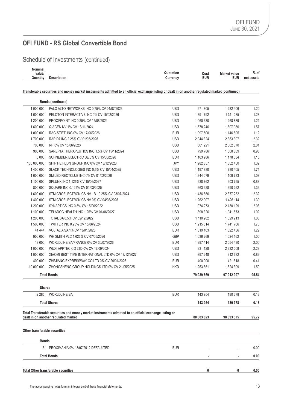Schedule of Investments (continued)

| . .<br>Nominal |                    |                                          |               |
|----------------|--------------------|------------------------------------------|---------------|
| value/         |                    | Quotation<br><b>Market value</b><br>Cost | $%$ of        |
| Quantity       | <b>Description</b> | eur<br>EUR<br>$\mathsf{Current}$         | net<br>assets |
|                |                    |                                          |               |

#### **Transferable securities and money market instruments admitted to an official exchange listing or dealt in on another regulated market (continued)**

| 1 000 000<br><b>USD</b><br>971 805<br>1 232 406<br>PALO ALTO NETWORKS INC 0.75% CV 01/07/2023<br><b>USD</b><br>1 600 000<br>1 391 792<br>PELOTON INTERACTIVE INC 0% CV 15/02/2026<br>1 311 085<br><b>USD</b><br>1 200 000<br>PROOFPOINT INC 0.25% CV 15/08/2024<br>1 060 630<br>1 268 889<br><b>USD</b><br>1 600 000<br>QIAGEN NV 1% CV 13/11/2024<br>1 578 246<br>1 607 050<br><b>EUR</b><br>1 000 000<br>RAG-STIFTUNG 0% CV 17/06/2026<br>1 097 500<br>1 146 895<br>1700 000<br><b>USD</b><br>RAPID7 INC 2.25% CV 01/05/2025<br>2 044 324<br>2 383 397<br>700 000<br>RH 0% CV 15/06/2023<br><b>USD</b><br>601 221<br>2 062 370<br>900 000<br><b>USD</b><br>799 786<br>1 008 389<br>SAREPTA THERAPEUTICS INC 1.5% CV 15/11/2024<br>6 0 0 0<br><b>EUR</b><br>1 163 286<br>SCHNEIDER ELECTRIC SE 0% CV 15/06/2026<br>1 178 034<br>160 000 000<br>SHIP HE HLDN GROUP INC 0% CV 13/12/2023<br>JPY<br>1 282 857<br>1 352 450<br>1 400 000<br><b>USD</b><br>1780 405<br>SLACK TECHNOLOGIES INC 0.5% CV 15/04/2025<br>1 197 880<br>1 600 000<br>SMILEDIRECTCLUB INC 0% CV 01/02/2026<br><b>USD</b><br>1 344 079<br>1 109 733<br>1 100 000<br><b>USD</b><br>SPLUNK INC 1.125% CV 15/06/2027<br>938 762<br>903 755<br>800 000<br><b>USD</b><br>SQUARE INC 0.125% CV 01/03/2025<br>663 928<br>1 390 262<br><b>USD</b><br>1 600 000<br>STMICROELECTRONICS NV - B - 0.25% CV 03/07/2024<br>1436656<br>2 377 232<br>1 400 000<br><b>USD</b><br>STMICROELECTRONICS NV 0% CV 04/08/2025<br>1 262 907<br>1 426 114<br>1 200 000<br><b>USD</b><br>SYNAPTICS INC 0.5% CV 15/06/2022<br>974 273<br>2 130 129<br><b>USD</b><br>1 100 000<br>TELADOC HEALTH INC 1.25% CV 01/06/2027<br>898 326<br>1 041 573<br>1 200 000<br>TOTAL SA 0.5% CV 02/12/2022<br><b>USD</b><br>1 110 262<br>1 029 213<br><b>USD</b><br>1 500 000<br>TWITTER INC 0.25% CV 15/06/2024<br>1 215 814<br>1741766<br><b>EUR</b><br>41 444<br>VOLTALIA SA 1% CV 13/01/2025<br>1 319 163<br>1 322 436<br>GBP<br>900 000<br>WH SMITH PLC 1.625% CV 07/05/2026<br>1 036 269<br>1 0 24 16 2<br><b>EUR</b><br>18 000<br>WORLDLINE SA/FRANCE 0% CV 30/07/2026<br>1 997 414<br>2 0 5 4 4 3 0<br>1 000 000<br>WUXI APPTEC CO LTD 0% CV 17/09/2024<br><b>USD</b><br>931 128<br>2 332 009<br><b>USD</b><br>1 000 000<br>XIAOMI BEST TIME INTERNATIONAL LTD 0% CV 17/12/2027<br>897 248<br>912 682<br><b>EUR</b><br>400 000<br>ZHEJIANG EXPRESSWAY CO LTD 0% CV 20/01/2026<br>400 000<br>421 618<br><b>HKD</b><br>10 000 000<br>ZHONGSHENG GROUP HOLDINGS LTD 0% CV 21/05/2025<br>1 253 651<br>1 624 399<br>79 939 669<br><b>Total Bonds</b><br>97 912 997<br><b>Shares</b><br>2 2 8 5<br><b>WORLDLINE SA</b><br><b>EUR</b><br>143 954<br>180 378<br><b>Total Shares</b><br>143 954<br>180 378<br>Total Transferable securities and money market instruments admitted to an official exchange listing or<br>80 083 623<br>98 093 375<br>dealt in on another regulated market<br>Other transferable securities<br><b>Bonds</b><br><b>EUR</b><br>5<br>PROXIMANIA 0% 13/07/2012 DEFAULTED<br><b>Total Bonds</b> | <b>Bonds (continued)</b> |   |   |       |
|--------------------------------------------------------------------------------------------------------------------------------------------------------------------------------------------------------------------------------------------------------------------------------------------------------------------------------------------------------------------------------------------------------------------------------------------------------------------------------------------------------------------------------------------------------------------------------------------------------------------------------------------------------------------------------------------------------------------------------------------------------------------------------------------------------------------------------------------------------------------------------------------------------------------------------------------------------------------------------------------------------------------------------------------------------------------------------------------------------------------------------------------------------------------------------------------------------------------------------------------------------------------------------------------------------------------------------------------------------------------------------------------------------------------------------------------------------------------------------------------------------------------------------------------------------------------------------------------------------------------------------------------------------------------------------------------------------------------------------------------------------------------------------------------------------------------------------------------------------------------------------------------------------------------------------------------------------------------------------------------------------------------------------------------------------------------------------------------------------------------------------------------------------------------------------------------------------------------------------------------------------------------------------------------------------------------------------------------------------------------------------------------------------------------------------------------------------------------------------------------------------------------------------------------------------------------------------------------------------------------------------------------------------------------------------------------------------------------------------------------------------------------------------------------------------------------------------------------------------------------------------------------------------------------------------------------------------------------------------------------------------------------------------------------------|--------------------------|---|---|-------|
|                                                                                                                                                                                                                                                                                                                                                                                                                                                                                                                                                                                                                                                                                                                                                                                                                                                                                                                                                                                                                                                                                                                                                                                                                                                                                                                                                                                                                                                                                                                                                                                                                                                                                                                                                                                                                                                                                                                                                                                                                                                                                                                                                                                                                                                                                                                                                                                                                                                                                                                                                                                                                                                                                                                                                                                                                                                                                                                                                                                                                                                  |                          |   |   | 1.20  |
|                                                                                                                                                                                                                                                                                                                                                                                                                                                                                                                                                                                                                                                                                                                                                                                                                                                                                                                                                                                                                                                                                                                                                                                                                                                                                                                                                                                                                                                                                                                                                                                                                                                                                                                                                                                                                                                                                                                                                                                                                                                                                                                                                                                                                                                                                                                                                                                                                                                                                                                                                                                                                                                                                                                                                                                                                                                                                                                                                                                                                                                  |                          |   |   | 1.28  |
|                                                                                                                                                                                                                                                                                                                                                                                                                                                                                                                                                                                                                                                                                                                                                                                                                                                                                                                                                                                                                                                                                                                                                                                                                                                                                                                                                                                                                                                                                                                                                                                                                                                                                                                                                                                                                                                                                                                                                                                                                                                                                                                                                                                                                                                                                                                                                                                                                                                                                                                                                                                                                                                                                                                                                                                                                                                                                                                                                                                                                                                  |                          |   |   | 1.24  |
|                                                                                                                                                                                                                                                                                                                                                                                                                                                                                                                                                                                                                                                                                                                                                                                                                                                                                                                                                                                                                                                                                                                                                                                                                                                                                                                                                                                                                                                                                                                                                                                                                                                                                                                                                                                                                                                                                                                                                                                                                                                                                                                                                                                                                                                                                                                                                                                                                                                                                                                                                                                                                                                                                                                                                                                                                                                                                                                                                                                                                                                  |                          |   |   | 1.57  |
|                                                                                                                                                                                                                                                                                                                                                                                                                                                                                                                                                                                                                                                                                                                                                                                                                                                                                                                                                                                                                                                                                                                                                                                                                                                                                                                                                                                                                                                                                                                                                                                                                                                                                                                                                                                                                                                                                                                                                                                                                                                                                                                                                                                                                                                                                                                                                                                                                                                                                                                                                                                                                                                                                                                                                                                                                                                                                                                                                                                                                                                  |                          |   |   | 1.12  |
|                                                                                                                                                                                                                                                                                                                                                                                                                                                                                                                                                                                                                                                                                                                                                                                                                                                                                                                                                                                                                                                                                                                                                                                                                                                                                                                                                                                                                                                                                                                                                                                                                                                                                                                                                                                                                                                                                                                                                                                                                                                                                                                                                                                                                                                                                                                                                                                                                                                                                                                                                                                                                                                                                                                                                                                                                                                                                                                                                                                                                                                  |                          |   |   | 2.32  |
|                                                                                                                                                                                                                                                                                                                                                                                                                                                                                                                                                                                                                                                                                                                                                                                                                                                                                                                                                                                                                                                                                                                                                                                                                                                                                                                                                                                                                                                                                                                                                                                                                                                                                                                                                                                                                                                                                                                                                                                                                                                                                                                                                                                                                                                                                                                                                                                                                                                                                                                                                                                                                                                                                                                                                                                                                                                                                                                                                                                                                                                  |                          |   |   | 2.01  |
|                                                                                                                                                                                                                                                                                                                                                                                                                                                                                                                                                                                                                                                                                                                                                                                                                                                                                                                                                                                                                                                                                                                                                                                                                                                                                                                                                                                                                                                                                                                                                                                                                                                                                                                                                                                                                                                                                                                                                                                                                                                                                                                                                                                                                                                                                                                                                                                                                                                                                                                                                                                                                                                                                                                                                                                                                                                                                                                                                                                                                                                  |                          |   |   | 0.98  |
|                                                                                                                                                                                                                                                                                                                                                                                                                                                                                                                                                                                                                                                                                                                                                                                                                                                                                                                                                                                                                                                                                                                                                                                                                                                                                                                                                                                                                                                                                                                                                                                                                                                                                                                                                                                                                                                                                                                                                                                                                                                                                                                                                                                                                                                                                                                                                                                                                                                                                                                                                                                                                                                                                                                                                                                                                                                                                                                                                                                                                                                  |                          |   |   | 1.15  |
|                                                                                                                                                                                                                                                                                                                                                                                                                                                                                                                                                                                                                                                                                                                                                                                                                                                                                                                                                                                                                                                                                                                                                                                                                                                                                                                                                                                                                                                                                                                                                                                                                                                                                                                                                                                                                                                                                                                                                                                                                                                                                                                                                                                                                                                                                                                                                                                                                                                                                                                                                                                                                                                                                                                                                                                                                                                                                                                                                                                                                                                  |                          |   |   | 1.32  |
|                                                                                                                                                                                                                                                                                                                                                                                                                                                                                                                                                                                                                                                                                                                                                                                                                                                                                                                                                                                                                                                                                                                                                                                                                                                                                                                                                                                                                                                                                                                                                                                                                                                                                                                                                                                                                                                                                                                                                                                                                                                                                                                                                                                                                                                                                                                                                                                                                                                                                                                                                                                                                                                                                                                                                                                                                                                                                                                                                                                                                                                  |                          |   |   | 1.74  |
|                                                                                                                                                                                                                                                                                                                                                                                                                                                                                                                                                                                                                                                                                                                                                                                                                                                                                                                                                                                                                                                                                                                                                                                                                                                                                                                                                                                                                                                                                                                                                                                                                                                                                                                                                                                                                                                                                                                                                                                                                                                                                                                                                                                                                                                                                                                                                                                                                                                                                                                                                                                                                                                                                                                                                                                                                                                                                                                                                                                                                                                  |                          |   |   | 1.08  |
|                                                                                                                                                                                                                                                                                                                                                                                                                                                                                                                                                                                                                                                                                                                                                                                                                                                                                                                                                                                                                                                                                                                                                                                                                                                                                                                                                                                                                                                                                                                                                                                                                                                                                                                                                                                                                                                                                                                                                                                                                                                                                                                                                                                                                                                                                                                                                                                                                                                                                                                                                                                                                                                                                                                                                                                                                                                                                                                                                                                                                                                  |                          |   |   | 0.88  |
|                                                                                                                                                                                                                                                                                                                                                                                                                                                                                                                                                                                                                                                                                                                                                                                                                                                                                                                                                                                                                                                                                                                                                                                                                                                                                                                                                                                                                                                                                                                                                                                                                                                                                                                                                                                                                                                                                                                                                                                                                                                                                                                                                                                                                                                                                                                                                                                                                                                                                                                                                                                                                                                                                                                                                                                                                                                                                                                                                                                                                                                  |                          |   |   | 1.36  |
|                                                                                                                                                                                                                                                                                                                                                                                                                                                                                                                                                                                                                                                                                                                                                                                                                                                                                                                                                                                                                                                                                                                                                                                                                                                                                                                                                                                                                                                                                                                                                                                                                                                                                                                                                                                                                                                                                                                                                                                                                                                                                                                                                                                                                                                                                                                                                                                                                                                                                                                                                                                                                                                                                                                                                                                                                                                                                                                                                                                                                                                  |                          |   |   | 2.32  |
|                                                                                                                                                                                                                                                                                                                                                                                                                                                                                                                                                                                                                                                                                                                                                                                                                                                                                                                                                                                                                                                                                                                                                                                                                                                                                                                                                                                                                                                                                                                                                                                                                                                                                                                                                                                                                                                                                                                                                                                                                                                                                                                                                                                                                                                                                                                                                                                                                                                                                                                                                                                                                                                                                                                                                                                                                                                                                                                                                                                                                                                  |                          |   |   | 1.39  |
|                                                                                                                                                                                                                                                                                                                                                                                                                                                                                                                                                                                                                                                                                                                                                                                                                                                                                                                                                                                                                                                                                                                                                                                                                                                                                                                                                                                                                                                                                                                                                                                                                                                                                                                                                                                                                                                                                                                                                                                                                                                                                                                                                                                                                                                                                                                                                                                                                                                                                                                                                                                                                                                                                                                                                                                                                                                                                                                                                                                                                                                  |                          |   |   | 2.08  |
|                                                                                                                                                                                                                                                                                                                                                                                                                                                                                                                                                                                                                                                                                                                                                                                                                                                                                                                                                                                                                                                                                                                                                                                                                                                                                                                                                                                                                                                                                                                                                                                                                                                                                                                                                                                                                                                                                                                                                                                                                                                                                                                                                                                                                                                                                                                                                                                                                                                                                                                                                                                                                                                                                                                                                                                                                                                                                                                                                                                                                                                  |                          |   |   | 1.02  |
|                                                                                                                                                                                                                                                                                                                                                                                                                                                                                                                                                                                                                                                                                                                                                                                                                                                                                                                                                                                                                                                                                                                                                                                                                                                                                                                                                                                                                                                                                                                                                                                                                                                                                                                                                                                                                                                                                                                                                                                                                                                                                                                                                                                                                                                                                                                                                                                                                                                                                                                                                                                                                                                                                                                                                                                                                                                                                                                                                                                                                                                  |                          |   |   | 1.00  |
|                                                                                                                                                                                                                                                                                                                                                                                                                                                                                                                                                                                                                                                                                                                                                                                                                                                                                                                                                                                                                                                                                                                                                                                                                                                                                                                                                                                                                                                                                                                                                                                                                                                                                                                                                                                                                                                                                                                                                                                                                                                                                                                                                                                                                                                                                                                                                                                                                                                                                                                                                                                                                                                                                                                                                                                                                                                                                                                                                                                                                                                  |                          |   |   | 1.70  |
|                                                                                                                                                                                                                                                                                                                                                                                                                                                                                                                                                                                                                                                                                                                                                                                                                                                                                                                                                                                                                                                                                                                                                                                                                                                                                                                                                                                                                                                                                                                                                                                                                                                                                                                                                                                                                                                                                                                                                                                                                                                                                                                                                                                                                                                                                                                                                                                                                                                                                                                                                                                                                                                                                                                                                                                                                                                                                                                                                                                                                                                  |                          |   |   | 1.29  |
|                                                                                                                                                                                                                                                                                                                                                                                                                                                                                                                                                                                                                                                                                                                                                                                                                                                                                                                                                                                                                                                                                                                                                                                                                                                                                                                                                                                                                                                                                                                                                                                                                                                                                                                                                                                                                                                                                                                                                                                                                                                                                                                                                                                                                                                                                                                                                                                                                                                                                                                                                                                                                                                                                                                                                                                                                                                                                                                                                                                                                                                  |                          |   |   | 1.00  |
|                                                                                                                                                                                                                                                                                                                                                                                                                                                                                                                                                                                                                                                                                                                                                                                                                                                                                                                                                                                                                                                                                                                                                                                                                                                                                                                                                                                                                                                                                                                                                                                                                                                                                                                                                                                                                                                                                                                                                                                                                                                                                                                                                                                                                                                                                                                                                                                                                                                                                                                                                                                                                                                                                                                                                                                                                                                                                                                                                                                                                                                  |                          |   |   | 2.00  |
|                                                                                                                                                                                                                                                                                                                                                                                                                                                                                                                                                                                                                                                                                                                                                                                                                                                                                                                                                                                                                                                                                                                                                                                                                                                                                                                                                                                                                                                                                                                                                                                                                                                                                                                                                                                                                                                                                                                                                                                                                                                                                                                                                                                                                                                                                                                                                                                                                                                                                                                                                                                                                                                                                                                                                                                                                                                                                                                                                                                                                                                  |                          |   |   | 2.28  |
|                                                                                                                                                                                                                                                                                                                                                                                                                                                                                                                                                                                                                                                                                                                                                                                                                                                                                                                                                                                                                                                                                                                                                                                                                                                                                                                                                                                                                                                                                                                                                                                                                                                                                                                                                                                                                                                                                                                                                                                                                                                                                                                                                                                                                                                                                                                                                                                                                                                                                                                                                                                                                                                                                                                                                                                                                                                                                                                                                                                                                                                  |                          |   |   | 0.89  |
|                                                                                                                                                                                                                                                                                                                                                                                                                                                                                                                                                                                                                                                                                                                                                                                                                                                                                                                                                                                                                                                                                                                                                                                                                                                                                                                                                                                                                                                                                                                                                                                                                                                                                                                                                                                                                                                                                                                                                                                                                                                                                                                                                                                                                                                                                                                                                                                                                                                                                                                                                                                                                                                                                                                                                                                                                                                                                                                                                                                                                                                  |                          |   |   | 0.41  |
|                                                                                                                                                                                                                                                                                                                                                                                                                                                                                                                                                                                                                                                                                                                                                                                                                                                                                                                                                                                                                                                                                                                                                                                                                                                                                                                                                                                                                                                                                                                                                                                                                                                                                                                                                                                                                                                                                                                                                                                                                                                                                                                                                                                                                                                                                                                                                                                                                                                                                                                                                                                                                                                                                                                                                                                                                                                                                                                                                                                                                                                  |                          |   |   | 1.59  |
|                                                                                                                                                                                                                                                                                                                                                                                                                                                                                                                                                                                                                                                                                                                                                                                                                                                                                                                                                                                                                                                                                                                                                                                                                                                                                                                                                                                                                                                                                                                                                                                                                                                                                                                                                                                                                                                                                                                                                                                                                                                                                                                                                                                                                                                                                                                                                                                                                                                                                                                                                                                                                                                                                                                                                                                                                                                                                                                                                                                                                                                  |                          |   |   | 95.54 |
|                                                                                                                                                                                                                                                                                                                                                                                                                                                                                                                                                                                                                                                                                                                                                                                                                                                                                                                                                                                                                                                                                                                                                                                                                                                                                                                                                                                                                                                                                                                                                                                                                                                                                                                                                                                                                                                                                                                                                                                                                                                                                                                                                                                                                                                                                                                                                                                                                                                                                                                                                                                                                                                                                                                                                                                                                                                                                                                                                                                                                                                  |                          |   |   |       |
|                                                                                                                                                                                                                                                                                                                                                                                                                                                                                                                                                                                                                                                                                                                                                                                                                                                                                                                                                                                                                                                                                                                                                                                                                                                                                                                                                                                                                                                                                                                                                                                                                                                                                                                                                                                                                                                                                                                                                                                                                                                                                                                                                                                                                                                                                                                                                                                                                                                                                                                                                                                                                                                                                                                                                                                                                                                                                                                                                                                                                                                  |                          |   |   | 0.18  |
|                                                                                                                                                                                                                                                                                                                                                                                                                                                                                                                                                                                                                                                                                                                                                                                                                                                                                                                                                                                                                                                                                                                                                                                                                                                                                                                                                                                                                                                                                                                                                                                                                                                                                                                                                                                                                                                                                                                                                                                                                                                                                                                                                                                                                                                                                                                                                                                                                                                                                                                                                                                                                                                                                                                                                                                                                                                                                                                                                                                                                                                  |                          |   |   | 0.18  |
|                                                                                                                                                                                                                                                                                                                                                                                                                                                                                                                                                                                                                                                                                                                                                                                                                                                                                                                                                                                                                                                                                                                                                                                                                                                                                                                                                                                                                                                                                                                                                                                                                                                                                                                                                                                                                                                                                                                                                                                                                                                                                                                                                                                                                                                                                                                                                                                                                                                                                                                                                                                                                                                                                                                                                                                                                                                                                                                                                                                                                                                  |                          |   |   |       |
|                                                                                                                                                                                                                                                                                                                                                                                                                                                                                                                                                                                                                                                                                                                                                                                                                                                                                                                                                                                                                                                                                                                                                                                                                                                                                                                                                                                                                                                                                                                                                                                                                                                                                                                                                                                                                                                                                                                                                                                                                                                                                                                                                                                                                                                                                                                                                                                                                                                                                                                                                                                                                                                                                                                                                                                                                                                                                                                                                                                                                                                  |                          |   |   | 95.72 |
|                                                                                                                                                                                                                                                                                                                                                                                                                                                                                                                                                                                                                                                                                                                                                                                                                                                                                                                                                                                                                                                                                                                                                                                                                                                                                                                                                                                                                                                                                                                                                                                                                                                                                                                                                                                                                                                                                                                                                                                                                                                                                                                                                                                                                                                                                                                                                                                                                                                                                                                                                                                                                                                                                                                                                                                                                                                                                                                                                                                                                                                  |                          |   |   |       |
|                                                                                                                                                                                                                                                                                                                                                                                                                                                                                                                                                                                                                                                                                                                                                                                                                                                                                                                                                                                                                                                                                                                                                                                                                                                                                                                                                                                                                                                                                                                                                                                                                                                                                                                                                                                                                                                                                                                                                                                                                                                                                                                                                                                                                                                                                                                                                                                                                                                                                                                                                                                                                                                                                                                                                                                                                                                                                                                                                                                                                                                  |                          |   |   |       |
|                                                                                                                                                                                                                                                                                                                                                                                                                                                                                                                                                                                                                                                                                                                                                                                                                                                                                                                                                                                                                                                                                                                                                                                                                                                                                                                                                                                                                                                                                                                                                                                                                                                                                                                                                                                                                                                                                                                                                                                                                                                                                                                                                                                                                                                                                                                                                                                                                                                                                                                                                                                                                                                                                                                                                                                                                                                                                                                                                                                                                                                  |                          |   |   | 0.00  |
|                                                                                                                                                                                                                                                                                                                                                                                                                                                                                                                                                                                                                                                                                                                                                                                                                                                                                                                                                                                                                                                                                                                                                                                                                                                                                                                                                                                                                                                                                                                                                                                                                                                                                                                                                                                                                                                                                                                                                                                                                                                                                                                                                                                                                                                                                                                                                                                                                                                                                                                                                                                                                                                                                                                                                                                                                                                                                                                                                                                                                                                  |                          |   |   | 0.00  |
| <b>Total Other transferable securities</b>                                                                                                                                                                                                                                                                                                                                                                                                                                                                                                                                                                                                                                                                                                                                                                                                                                                                                                                                                                                                                                                                                                                                                                                                                                                                                                                                                                                                                                                                                                                                                                                                                                                                                                                                                                                                                                                                                                                                                                                                                                                                                                                                                                                                                                                                                                                                                                                                                                                                                                                                                                                                                                                                                                                                                                                                                                                                                                                                                                                                       |                          | 0 | 0 | 0.00  |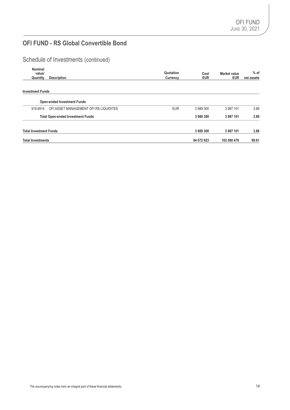Schedule of Investments (continued)

| Nominal<br>value/             |                                          | Quotation  | Cost       | Market value | $%$ of     |
|-------------------------------|------------------------------------------|------------|------------|--------------|------------|
| Quantity                      | <b>Description</b>                       | Currency   | <b>EUR</b> | <b>EUR</b>   | net assets |
| <b>Investment Funds</b>       |                                          |            |            |              |            |
|                               | <b>Open-ended Investment Funds</b>       |            |            |              |            |
| 919.6914                      | OFI ASSET MANAGEMENT OFI RS LIQUIDITES   | <b>EUR</b> | 3 989 300  | 3 987 101    | 3.89       |
|                               | <b>Total Open-ended Investment Funds</b> |            | 3989300    | 3 987 101    | 3.89       |
| <b>Total Investment Funds</b> |                                          |            | 3989300    | 3 987 101    | 3.89       |
| <b>Total Investments</b>      |                                          |            | 84 072 923 | 102 080 476  | 99.61      |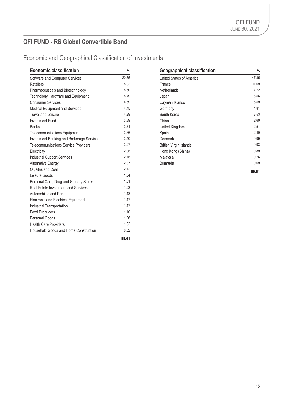## Economic and Geographical Classification of Investments

| <b>Economic classification</b>               | $\%$  | <b>Geographical classification</b> | $\frac{0}{6}$ |
|----------------------------------------------|-------|------------------------------------|---------------|
| Software and Computer Services               | 20.75 | United States of America           | 47.85         |
| <b>Retailers</b>                             | 8.92  | France                             | 11.69         |
| Pharmaceuticals and Biotechnology            | 8.50  | Netherlands                        | 7.72          |
| Technology Hardware and Equipment            | 8.49  | Japan                              | 6.56          |
| <b>Consumer Services</b>                     | 4.59  | Cayman Islands                     | 5.59          |
| Medical Equipment and Services               | 4.45  | Germany                            | 4.81          |
| Travel and Leisure                           | 4.29  | South Korea                        | 3.53          |
| <b>Investment Fund</b>                       | 3.89  | China                              | 2.69          |
| <b>Banks</b>                                 | 3.71  | United Kingdom                     | 2.51          |
| Telecommunications Equipment                 | 3.66  | Spain                              | 2.40          |
| Investment Banking and Brokerage Services    | 3.40  | Denmark                            | 0.99          |
| <b>Telecommunications Service Providers</b>  | 3.27  | <b>British Virgin Islands</b>      | 0.93          |
| Electricity                                  | 2.95  | Hong Kong (China)                  | 0.89          |
| <b>Industrial Support Services</b>           | 2.75  | Malaysia                           | 0.76          |
| <b>Alternative Energy</b>                    | 2.37  | Bermuda                            | 0.69          |
| Oil, Gas and Coal                            | 2.12  |                                    | 99.61         |
| Leisure Goods                                | 1.54  |                                    |               |
| Personal Care, Drug and Grocery Stores       | 1.51  |                                    |               |
| Real Estate Investment and Services          | 1.23  |                                    |               |
| Automobiles and Parts                        | 1.18  |                                    |               |
| <b>Electronic and Electrical Equipment</b>   | 1.17  |                                    |               |
| Industrial Transportation                    | 1.17  |                                    |               |
| <b>Food Producers</b>                        | 1.10  |                                    |               |
| Personal Goods                               | 1.06  |                                    |               |
| <b>Health Care Providers</b>                 | 1.02  |                                    |               |
| <b>Household Goods and Home Construction</b> | 0.52  |                                    |               |
|                                              | 99.61 |                                    |               |

| <b>Geographical classification</b> | %     |
|------------------------------------|-------|
| United States of America           | 47.85 |
| France                             | 11.69 |
| Netherlands                        | 7.72  |
| Japan                              | 6.56  |
| Cayman Islands                     | 5.59  |
| Germany                            | 4.81  |
| South Korea                        | 3.53  |
| China                              | 2.69  |
| United Kingdom                     | 2.51  |
| Spain                              | 2.40  |
| Denmark                            | 0.99  |
| British Virgin Islands             | 0.93  |
| Hong Kong (China)                  | 0.89  |
| Malaysia                           | 0.76  |
| Bermuda                            | 0.69  |
|                                    | 99.61 |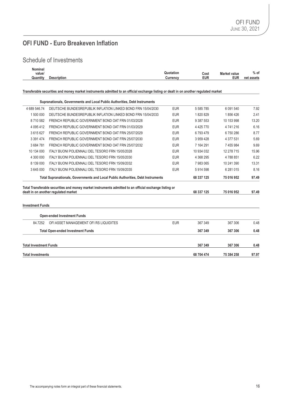## **OFI FUND - Euro Breakeven Inflation**

### Schedule of Investments

| <b>Nominal</b> |             |                   |              |               |
|----------------|-------------|-------------------|--------------|---------------|
| __<br>value,   |             | Quotation<br>Cost | Market value | % of          |
| Quantity       | Description | EUR<br>Currency   | EUR          | net<br>assets |
|                |             |                   |              |               |

#### **Transferable securities and money market instruments admitted to an official exchange listing or dealt in on another regulated market**

|                                                                                  | Supranationals, Governments and Local Public Authorities, Debt Instruments                             |            |               |               |       |
|----------------------------------------------------------------------------------|--------------------------------------------------------------------------------------------------------|------------|---------------|---------------|-------|
| 4 689 546.74                                                                     | DEUTSCHE BUNDESREPUBLIK INFLATION LINKED BOND FRN 15/04/2030                                           | <b>EUR</b> | 5 5 8 5 7 8 5 | 6 0 9 1 5 4 0 | 7.92  |
| 1 500 000                                                                        | DEUTSCHE BUNDESREPUBLIK INFLATION LINKED BOND FRN 15/04/2033                                           | <b>EUR</b> | 1820829       | 1856426       | 2.41  |
| 8710582                                                                          | FRENCH REPUBLIC GOVERNMENT BOND OAT FRN 01/03/2028                                                     | <b>EUR</b> | 9 387 553     | 10 153 998    | 13.20 |
| 4 0 9 5 4 1 2                                                                    | FRENCH REPUBLIC GOVERNMENT BOND OAT FRN 01/03/2029                                                     | <b>EUR</b> | 4 4 2 5 7 7 0 | 4741216       | 6.16  |
| 3615627                                                                          | FRENCH REPUBLIC GOVERNMENT BOND OAT FRN 25/07/2029                                                     | <b>EUR</b> | 6793479       | 6750286       | 8.77  |
| 3 3 9 1 4 7 4                                                                    | FRENCH REPUBLIC GOVERNMENT BOND OAT FRN 25/07/2030                                                     | <b>EUR</b> | 3 959 428     | 4 377 531     | 5.69  |
| 3684781                                                                          | FRENCH REPUBLIC GOVERNMENT BOND OAT FRN 25/07/2032                                                     | <b>EUR</b> | 7 164 291     | 7 455 984     | 9.69  |
| 10 134 000                                                                       | ITALY BUONI POLIENNALI DEL TESORO FRN 15/05/2028                                                       | <b>EUR</b> | 10 934 032    | 12 278 715    | 15.96 |
| 4 300 000                                                                        | ITALY BUONI POLIENNALI DEL TESORO FRN 15/05/2030                                                       | <b>EUR</b> | 4 368 295     | 4788851       | 6.22  |
| 8 139 000                                                                        | ITALY BUONI POLIENNALI DEL TESORO FRN 15/09/2032                                                       | <b>EUR</b> | 7 983 065     | 10 241 390    | 13.31 |
| 3 645 000                                                                        | <b>ITALY BUONI POLIENNALI DEL TESORO FRN 15/09/2035</b>                                                | <b>EUR</b> | 5914598       | 6 281 015     | 8.16  |
| Total Supranationals, Governments and Local Public Authorities, Debt Instruments |                                                                                                        |            | 68 337 125    | 75 016 952    | 97.49 |
|                                                                                  | Total Transferable securities and money market instruments admitted to an official exchange listing or |            |               |               |       |
|                                                                                  | dealt in on another regulated market                                                                   |            | 68 337 125    | 75 016 952    | 97.49 |
| <b>Investment Funds</b>                                                          |                                                                                                        |            |               |               |       |
|                                                                                  | <b>Open-ended Investment Funds</b>                                                                     |            |               |               |       |
| 84.7252                                                                          | OFI ASSET MANAGEMENT OFI RS LIQUIDITES                                                                 | <b>EUR</b> | 367 349       | 367 306       | 0.48  |
|                                                                                  | <b>Total Open-ended Investment Funds</b>                                                               |            | 367 349       | 367 306       | 0.48  |
| <b>Total Investment Funds</b>                                                    |                                                                                                        |            | 367 349       | 367 306       | 0.48  |
| <b>Total Investments</b>                                                         |                                                                                                        |            | 68 704 474    | 75 384 258    | 97.97 |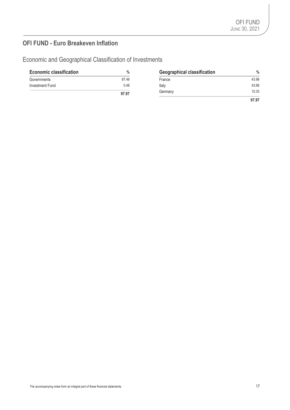## **OFI FUND - Euro Breakeven Inflation**

Economic and Geographical Classification of Investments

| <b>Economic classification</b> | %     | <b>Geographical classification</b> | $\%$  |
|--------------------------------|-------|------------------------------------|-------|
| Governments                    | 97.49 | France                             | 43.98 |
| Investment Fund                | 0.48  | Italy                              | 43.66 |
|                                | 97.97 | Germany                            | 10.33 |
|                                |       |                                    | 97.97 |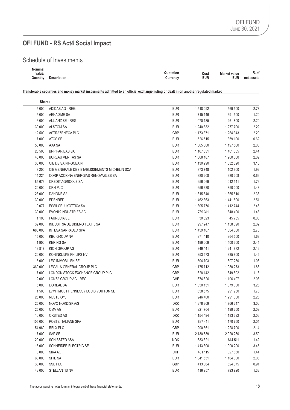## **OFI FUND - RS Act4 Social Impact**

### Schedule of Investments

| Nominal  |             |                       |                   |                       |
|----------|-------------|-----------------------|-------------------|-----------------------|
| value/   |             | Quotation<br>Cost     | Market value<br>. | $\mathbf{0}$<br>∕o of |
| Quantitv | Description | EUR<br>$C$ urrenc $V$ | EUR               | net<br>assets         |
|          |             |                       |                   |                       |

#### **Transferable securities and money market instruments admitted to an official exchange listing or dealt in on another regulated market**

| Shares  |                                              |            |           |           |      |
|---------|----------------------------------------------|------------|-----------|-----------|------|
| 5 0 0 0 | ADIDAS AG - REG                              | <b>EUR</b> | 1 518 092 | 1569500   | 2.73 |
| 5 0 0 0 | AENA SME SA                                  | <b>EUR</b> | 715 146   | 691 500   | 1.20 |
| 6 0 0 0 | ALLIANZ SE - REG                             | <b>EUR</b> | 1 070 185 | 1 261 800 | 2.20 |
| 30 000  | <b>ALSTOM SA</b>                             | <b>EUR</b> | 1 240 832 | 1 277 700 | 2.22 |
| 12 500  | ASTRAZENECA PLC                              | GBP        | 1 173 371 | 1 264 343 | 2.20 |
| 7 0 0 0 | ATOS SE                                      | <b>EUR</b> | 526 515   | 359 100   | 0.62 |
| 56 000  | AXA SA                                       | <b>EUR</b> | 1 365 000 | 1 197 560 | 2.08 |
| 26 500  | <b>BNP PARIBAS SA</b>                        | <b>EUR</b> | 1 107 031 | 1 401 055 | 2.44 |
| 45 000  | <b>BUREAU VERITAS SA</b>                     | <b>EUR</b> | 1 068 187 | 1 200 600 | 2.09 |
| 33 000  | CIE DE SAINT-GOBAIN                          | <b>EUR</b> | 1 130 290 | 1832820   | 3.18 |
| 8 2 0 0 | CIE GENERALE DES ETABLISSEMENTS MICHELIN SCA | <b>EUR</b> | 873 748   | 1 102 900 | 1.92 |
| 14 2 24 | CORP ACCIONA ENERGIAS RENOVABLES SA          | <b>EUR</b> | 380 208   | 380 208   | 0.66 |
| 85 673  | <b>CREDIT AGRICOLE SA</b>                    | <b>EUR</b> | 956 069   | 1 012 141 | 1.76 |
| 20 000  | CRH PLC                                      | <b>EUR</b> | 656 330   | 850 000   | 1.48 |
| 23 000  | DANONE SA                                    | <b>EUR</b> | 1 315 640 | 1 365 510 | 2.38 |
| 30 000  | <b>EDENRED</b>                               | <b>EUR</b> | 1462363   | 1441500   | 2.51 |
| 9077    | ESSILORLUXOTTICA SA                          | <b>EUR</b> | 1 305 776 | 1 412 744 | 2.46 |
| 30 000  | EVONIK INDUSTRIES AG                         | <b>EUR</b> | 739 311   | 848 400   | 1.48 |
| 1 1 0 6 | <b>FAURECIA SE</b>                           | <b>EUR</b> | 30 623    | 45 755    | 0.08 |
| 39 000  | INDUSTRIA DE DISENO TEXTIL SA                | <b>EUR</b> | 997 247   | 1 158 690 | 2.02 |
| 680 000 | INTESA SANPAOLO SPA                          | <b>EUR</b> | 1459 107  | 1 584 060 | 2.76 |
| 15 000  | <b>KBC GROUP NV</b>                          | <b>EUR</b> | 971410    | 964 500   | 1.68 |
| 1 900   | <b>KERING SA</b>                             | <b>EUR</b> | 1 199 009 | 1 400 300 | 2.44 |
| 13817   | KION GROUP AG                                | <b>EUR</b> | 849 441   | 1 241 872 | 2.16 |
| 20 000  | KONINKLIJKE PHILIPS NV                       | <b>EUR</b> | 853 573   | 835 800   | 1.45 |
| 5 0 0 0 | <b>LEG IMMOBILIEN SE</b>                     | <b>EUR</b> | 504 703   | 607 250   | 1.06 |
| 360 000 | LEGAL & GENERAL GROUP PLC                    | <b>GBP</b> | 1 175 712 | 1 080 273 | 1.88 |
| 7 0 0 0 | LONDON STOCK EXCHANGE GROUP PLC              | <b>GBP</b> | 628 142   | 649 892   | 1.13 |
| 2 0 0 0 | LONZA GROUP AG - REG                         | CHF        | 674 826   | 1 196 497 | 2.08 |
| 5 0 0 0 | L'OREAL SA                                   | <b>EUR</b> | 1 350 151 | 1879000   | 3.26 |
| 1500    | LVMH MOET HENNESSY LOUIS VUITTON SE          | <b>EUR</b> | 658 575   | 991 950   | 1.73 |
| 25 000  | NESTE OYJ                                    | <b>EUR</b> | 946 400   | 1 291 000 | 2.25 |
| 25 000  | NOVO NORDISK A/S                             | <b>DKK</b> | 1 378 809 | 1766347   | 3.06 |
| 25 000  | OMV AG                                       | <b>EUR</b> | 921 704   | 1 199 250 | 2.09 |
| 10 000  | ORSTED AS                                    | <b>DKK</b> | 1 154 494 | 1 183 392 | 2.06 |
| 105 000 | POSTE ITALIANE SPA                           | <b>EUR</b> | 887 411   | 1 170 750 | 2.04 |
| 54 969  | <b>RELX PLC</b>                              | GBP        | 1 290 561 | 1 228 790 | 2.14 |
| 17 000  | SAP SE                                       | <b>EUR</b> | 2 130 889 | 2 020 280 | 3.50 |
| 20 000  | <b>SCHIBSTED ASA</b>                         | <b>NOK</b> | 633 321   | 814 511   | 1.42 |
| 15 000  | SCHNEIDER ELECTRIC SE                        | <b>EUR</b> | 1 413 300 | 1 990 200 | 3.45 |
| 3 0 0 0 | <b>SIKA AG</b>                               | CHF        | 481 115   | 827 860   | 1.44 |
| 60 000  | SPIE SA                                      | <b>EUR</b> | 1 041 551 | 1 164 000 | 2.03 |
| 30 000  | <b>SSE PLC</b>                               | GBP        | 413 364   | 524 375   | 0.91 |
| 48 000  | STELLANTIS NV                                | <b>EUR</b> | 416 957   | 793 920   | 1.38 |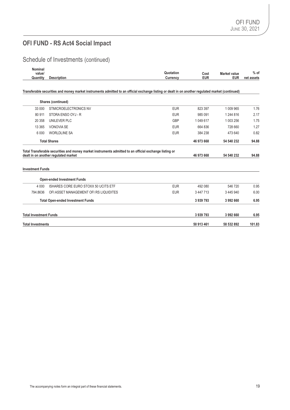## **OFI FUND - RS Act4 Social Impact**

## Schedule of Investments (continued)

| Nominal  |                    |           |      |                     |            |
|----------|--------------------|-----------|------|---------------------|------------|
| value/   |                    | Quotation | Cost | <b>Market value</b> | $%$ of     |
| Quantity | <b>Description</b> | Currencv  | eur  | EUR                 | net assets |
|          |                    |           |      |                     |            |

#### **Transferable securities and money market instruments admitted to an official exchange listing or dealt in on another regulated market (continued)**

|                               | Shares (continued)                       |            |            |            |        |
|-------------------------------|------------------------------------------|------------|------------|------------|--------|
| 33 000                        | STMICROELECTRONICS NV                    | <b>EUR</b> | 823 397    | 1 009 965  | 1.76   |
| 80 911                        | STORA ENSO OYJ - R                       | <b>EUR</b> | 985 091    | 1 244 816  | 2.17   |
| 20 358                        | UNILEVER PLC                             | <b>GBP</b> | 1 049 617  | 1 003 256  | 1.75   |
| 13 3 65                       | <b>VONOVIA SE</b>                        | <b>EUR</b> | 664 836    | 728 660    | 1.27   |
| 6 0 0 0                       | <b>WORLDLINE SA</b>                      | <b>EUR</b> | 384 238    | 473 640    | 0.82   |
| <b>Total Shares</b>           |                                          |            | 46 973 668 | 54 540 232 | 94.88  |
| <b>Investment Funds</b>       | dealt in on another regulated market     |            | 46 973 668 | 54 540 232 | 94.88  |
|                               | <b>Open-ended Investment Funds</b>       |            |            |            |        |
| 4 0 0 0                       | ISHARES CORE EURO STOXX 50 UCITS ETF     | <b>EUR</b> | 492 080    | 546 720    | 0.95   |
| 794.8636                      | OFI ASSET MANAGEMENT OFI RS LIQUIDITES   | <b>EUR</b> | 3 447 713  | 3 445 940  | 6.00   |
|                               | <b>Total Open-ended Investment Funds</b> |            | 3939793    | 3 992 660  | 6.95   |
| <b>Total Investment Funds</b> |                                          |            | 3939793    | 3 992 660  | 6.95   |
| <b>Total Investments</b>      |                                          |            | 50 913 461 | 58 532 892 | 101.83 |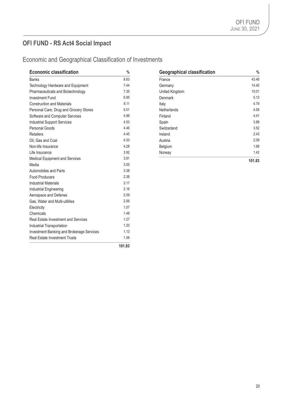## **OFI FUND - RS Act4 Social Impact**

## Economic and Geographical Classification of Investments

| <b>Economic classification</b>             | $\%$   | <b>Geographical classification</b> | $\frac{0}{6}$ |
|--------------------------------------------|--------|------------------------------------|---------------|
| <b>Banks</b>                               | 8.63   | France                             | 43.48         |
| Technology Hardware and Equipment          | 7.44   | Germany                            | 14.40         |
| Pharmaceuticals and Biotechnology          | 7.35   | United Kingdom                     | 10.01         |
| <b>Investment Fund</b>                     | 6.95   | Denmark                            | 5.13          |
| <b>Construction and Materials</b>          | 6.11   | Italy                              | 4.79          |
| Personal Care, Drug and Grocery Stores     | 5.01   | <b>Netherlands</b>                 | 4.59          |
| Software and Computer Services             | 4.96   | Finland                            | 4.41          |
| <b>Industrial Support Services</b>         | 4.53   | Spain                              | 3.88          |
| Personal Goods                             | 4.46   | Switzerland                        | 3.52          |
| <b>Retailers</b>                           | 4.45   | Ireland                            | 2.43          |
| Oil, Gas and Coal                          | 4.33   | Austria                            | 2.09          |
| Non-life Insurance                         | 4.28   | Belgium                            | 1.68          |
| Life Insurance                             | 3.92   | Norway                             | 1.42          |
| Medical Equipment and Services             | 3.91   |                                    | 101.83        |
| Media                                      | 3.55   |                                    |               |
| Automobiles and Parts                      | 3.38   |                                    |               |
| <b>Food Producers</b>                      | 2.38   |                                    |               |
| <b>Industrial Materials</b>                | 2.17   |                                    |               |
| Industrial Engineering                     | 2.16   |                                    |               |
| Aerospace and Defense                      | 2.09   |                                    |               |
| Gas, Water and Multi-utilities             | 2.06   |                                    |               |
| Electricity                                | 1.57   |                                    |               |
| Chemicals                                  | 1.48   |                                    |               |
| <b>Real Estate Investment and Services</b> | 1.27   |                                    |               |
| Industrial Transportation                  | 1.20   |                                    |               |
| Investment Banking and Brokerage Services  | 1.13   |                                    |               |
| <b>Real Estate Investment Trusts</b>       | 1.06   |                                    |               |
|                                            | 101.83 |                                    |               |

| <b>Geographical classification</b> | %      |
|------------------------------------|--------|
| France                             | 43.48  |
| Germany                            | 14.40  |
| United Kingdom                     | 10.01  |
| Denmark                            | 5.13   |
| Italy                              | 4.79   |
| <b>Netherlands</b>                 | 4.59   |
| Finland                            | 4.41   |
| Spain                              | 3.88   |
| Switzerland                        | 3.52   |
| Ireland                            | 2.43   |
| Austria                            | 2.09   |
| Belgium                            | 1.68   |
| Norway                             | 1.42   |
|                                    | 101.83 |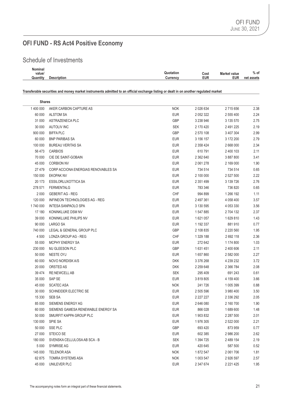## **OFI FUND - RS Act4 Positive Economy**

## Schedule of Investments

| Nominal  |             |                           |                     |                 |
|----------|-------------|---------------------------|---------------------|-----------------|
| value/   |             | $-1$<br>Quotation<br>Cost | <b>Market value</b> | $%$ of          |
| Quantity | Description | EUR<br>$U$ urrenc $V$     | EUR                 | net<br>. assets |
|          |             |                           |                     |                 |

#### **Transferable securities and money market instruments admitted to an official exchange listing or dealt in on another regulated market**

| <b>Shares</b> |                                     |            |               |               |      |
|---------------|-------------------------------------|------------|---------------|---------------|------|
| 1 400 000     | AKER CARBON CAPTURE AS              | <b>NOK</b> | 2 0 26 6 34   | 2715656       | 2.38 |
| 60 000        | <b>ALSTOM SA</b>                    | <b>EUR</b> | 2 0 5 2 3 2 2 | 2 555 400     | 2.24 |
| 31 000        | ASTRAZENECA PLC                     | <b>GBP</b> | 3 238 946     | 3 135 570     | 2.75 |
| 30 000        | <b>AUTOLIV INC</b>                  | <b>SEK</b> | 2 170 420     | 2 491 225     | 2.19 |
| 900 000       | <b>BIFFA PLC</b>                    | <b>GBP</b> | 2 570 108     | 3 407 304     | 2.99 |
| 60 000        | <b>BNP PARIBAS SA</b>               | <b>EUR</b> | 3 156 157     | 3 172 200     | 2.79 |
| 100 000       | <b>BUREAU VERITAS SA</b>            | <b>EUR</b> | 2 358 424     | 2 668 000     | 2.34 |
| 56 473        | <b>CARBIOS</b>                      | <b>EUR</b> | 610 791       | 2 400 103     | 2.11 |
| 70 000        | CIE DE SAINT-GOBAIN                 | <b>EUR</b> | 2 362 640     | 3 887 800     | 3.41 |
| 45 000        | <b>CORBION NV</b>                   | <b>EUR</b> | 2 061 278     | 2 169 000     | 1.90 |
| 27 479        | CORP ACCIONA ENERGIAS RENOVABLES SA | <b>EUR</b> | 734 514       | 734 514       | 0.65 |
| 150 000       | <b>EKOPAK NV</b>                    | <b>EUR</b> | 2 100 000     | 2 527 500     | 2.22 |
| 20 173        | ESSILORLUXOTTICA SA                 | <b>EUR</b> | 2 351 499     | 3 139 726     | 2.76 |
| 278 571       | <b>FERMENTALG</b>                   | <b>EUR</b> | 783 346       | 736 820       | 0.65 |
| 2 0 0 0       | <b>GEBERIT AG - REG</b>             | CHF        | 994 899       | 1 266 192     | 1.11 |
| 120 000       | INFINEON TECHNOLOGIES AG - REG      | <b>EUR</b> | 2 497 361     | 4 058 400     | 3.57 |
| 1740 000      | INTESA SANPAOLO SPA                 | <b>EUR</b> | 3 130 595     | 4 053 330     | 3.56 |
| 17 180        | KONINKLIJKE DSM NV                  | <b>EUR</b> | 1547885       | 2 704 132     | 2.37 |
| 39 000        | KONINKLIJKE PHILIPS NV              | <b>EUR</b> | 1 621 057     | 1629810       | 1.43 |
| 90 000        | LARGO SA                            | <b>EUR</b> | 1 192 337     | 881 910       | 0.77 |
| 740 000       | LEGAL & GENERAL GROUP PLC           | <b>GBP</b> | 2 108 835     | 2 2 2 5 6 0   | 1.95 |
| 4 500         | LONZA GROUP AG - REG                | <b>CHF</b> | 1 329 188     | 2692118       | 2.36 |
| 55 000        | <b>MCPHY ENERGY SA</b>              | <b>EUR</b> | 272 642       | 1 174 800     | 1.03 |
| 230 000       | MJ GLEESON PLC                      | <b>GBP</b> | 1631451       | 2 400 606     | 2.11 |
| 50 000        | NESTE OYJ                           | <b>EUR</b> | 1 657 860     | 2 582 000     | 2.27 |
| 60 000        | NOVO NORDISK A/S                    | <b>DKK</b> | 3 376 268     | 4 239 232     | 3.72 |
| 20 000        | ORSTED AS                           | <b>DKK</b> | 2 259 648     | 2 366 784     | 2.08 |
| 39 4 74       | <b>RE:NEWCELL AB</b>                | <b>SEK</b> | 295 409       | 691 243       | 0.61 |
| 35 000        | SAP SE                              | <b>EUR</b> | 3 819 805     | 4 159 400     | 3.66 |
| 45 000        | <b>SCATEC ASA</b>                   | <b>NOK</b> | 241726        | 1 005 399     | 0.88 |
| 30 000        | SCHNEIDER ELECTRIC SE               | <b>EUR</b> | 2 505 596     | 3 980 400     | 3.50 |
| 15 330        | SEB SA                              | <b>EUR</b> | 2 2 2 2 2 2 7 | 2 336 292     | 2.05 |
| 85 000        | SIEMENS ENERGY AG                   | <b>EUR</b> | 2 646 080     | 2 160 700     | 1.90 |
| 60 000        | SIEMENS GAMESA RENEWABLE ENERGY SA  | <b>EUR</b> | 866 028       | 1689600       | 1.48 |
| 50 000        | SMURFIT KAPPA GROUP PLC             | <b>EUR</b> | 1903832       | 2 287 500     | 2.01 |
| 130 000       | SPIE SA                             | <b>EUR</b> | 1976 305      | 2 522 000     | 2.21 |
| 50 000        | SSE PLC                             | GBP        | 693 420       | 873 959       | 0.77 |
| 27 000        | STEICO SE                           | <b>EUR</b> | 602 385       | 2 986 200     | 2.62 |
| 180 000       | SVENSKA CELLULOSA AB SCA - B        | <b>SEK</b> | 1 394 725     | 2 489 154     | 2.19 |
| 5 0 0 0       | <b>SYMRISE AG</b>                   | <b>EUR</b> | 420 645       | 587 500       | 0.52 |
| 145 000       | <b>TELENOR ASA</b>                  | <b>NOK</b> | 1872 547      | 2 061 706     | 1.81 |
| 62 875        | TOMRA SYSTEMS ASA                   | <b>NOK</b> | 1 003 547     | 2 926 597     | 2.57 |
| 45 000        | UNILEVER PLC                        | <b>EUR</b> | 2 347 674     | 2 2 2 1 4 2 5 | 1.95 |
|               |                                     |            |               |               |      |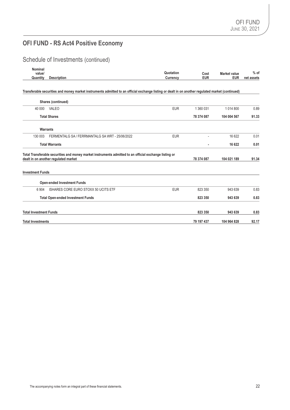## **OFI FUND - RS Act4 Positive Economy**

Schedule of Investments (continued)

| Nominal<br>value/             |                                                                                                                                                   | Quotation  | Cost       | <b>Market value</b> | $%$ of     |
|-------------------------------|---------------------------------------------------------------------------------------------------------------------------------------------------|------------|------------|---------------------|------------|
| Quantity                      | <b>Description</b>                                                                                                                                | Currency   | <b>EUR</b> | <b>EUR</b>          | net assets |
|                               | Transferable securities and money market instruments admitted to an official exchange listing or dealt in on another regulated market (continued) |            |            |                     |            |
|                               | Shares (continued)                                                                                                                                |            |            |                     |            |
| 40 000                        | VALEO                                                                                                                                             | <b>EUR</b> | 1 360 031  | 1 0 1 4 8 0 0       | 0.89       |
|                               | <b>Total Shares</b>                                                                                                                               |            | 78 374 087 | 104 004 567         | 91.33      |
|                               | Warrants                                                                                                                                          |            |            |                     |            |
| 130 003                       | FERMENTALG SA / FERRMANTALG SA WRT - 25/06/2022                                                                                                   | <b>EUR</b> |            | 16 622              | 0.01       |
|                               | <b>Total Warrants</b>                                                                                                                             |            | ä,         | 16 622              | 0.01       |
|                               | Total Transferable securities and money market instruments admitted to an official exchange listing or<br>dealt in on another regulated market    |            | 78 374 087 | 104 021 189         | 91.34      |
| <b>Investment Funds</b>       |                                                                                                                                                   |            |            |                     |            |
|                               | <b>Open-ended Investment Funds</b>                                                                                                                |            |            |                     |            |
| 6 9 0 4                       | ISHARES CORE EURO STOXX 50 UCITS ETF                                                                                                              | <b>EUR</b> | 823 350    | 943 639             | 0.83       |
|                               | <b>Total Open-ended Investment Funds</b>                                                                                                          |            | 823 350    | 943 639             | 0.83       |
| <b>Total Investment Funds</b> |                                                                                                                                                   |            | 823 350    | 943 639             | 0.83       |
| <b>Total Investments</b>      |                                                                                                                                                   |            | 79 197 437 | 104 964 828         | 92.17      |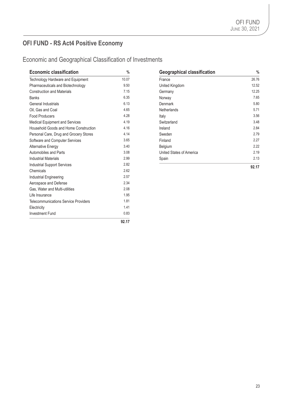## **OFI FUND - RS Act4 Positive Economy**

Economic and Geographical Classification of Investments

| <b>Economic classification</b>              | $\frac{0}{0}$ | <b>Geographical classification</b> | $\frac{0}{6}$ |
|---------------------------------------------|---------------|------------------------------------|---------------|
| Technology Hardware and Equipment           | 10.07         | France                             | 26.76         |
| Pharmaceuticals and Biotechnology           | 9.50          | United Kingdom                     | 12.52         |
| <b>Construction and Materials</b>           | 7.15          | Germany                            | 12.25         |
| <b>Banks</b>                                | 6.35          | Norway                             | 7.65          |
| General Industrials                         | 6.13          | Denmark                            | 5.80          |
| Oil, Gas and Coal                           | 4.65          | <b>Netherlands</b>                 | 5.71          |
| <b>Food Producers</b>                       | 4.28          | Italy                              | 3.56          |
| Medical Equipment and Services              | 4.19          | Switzerland                        | 3.48          |
| Household Goods and Home Construction       | 4.16          | Ireland                            | 2.84          |
| Personal Care, Drug and Grocery Stores      | 4.14          | Sweden                             | 2.79          |
| Software and Computer Services              | 3.65          | Finland                            | 2.27          |
| <b>Alternative Energy</b>                   | 3.40          | Belgium                            | 2.22          |
| Automobiles and Parts                       | 3.08          | United States of America           | 2.19          |
| <b>Industrial Materials</b>                 | 2.99          | Spain                              | 2.13          |
| <b>Industrial Support Services</b>          | 2.82          |                                    | 92.17         |
| Chemicals                                   | 2.62          |                                    |               |
| Industrial Engineering                      | 2.57          |                                    |               |
| Aerospace and Defense                       | 2.34          |                                    |               |
| Gas. Water and Multi-utilities              | 2.08          |                                    |               |
| Life Insurance                              | 1.95          |                                    |               |
| <b>Telecommunications Service Providers</b> | 1.81          |                                    |               |
| Electricity                                 | 1.41          |                                    |               |
| <b>Investment Fund</b>                      | 0.83          |                                    |               |
|                                             | 92.17         |                                    |               |

| <b>Geographical classification</b> | %     |
|------------------------------------|-------|
| France                             | 26.76 |
| United Kingdom                     | 12.52 |
| Germany                            | 12.25 |
| Norway                             | 7.65  |
| Denmark                            | 5.80  |
| <b>Netherlands</b>                 | 5.71  |
| Italy                              | 3.56  |
| Switzerland                        | 3.48  |
| Ireland                            | 2.84  |
| Sweden                             | 2.79  |
| Finland                            | 2.27  |
| Belgium                            | 2.22  |
| United States of America           | 2.19  |
| Spain                              | 2.13  |
|                                    | 92.17 |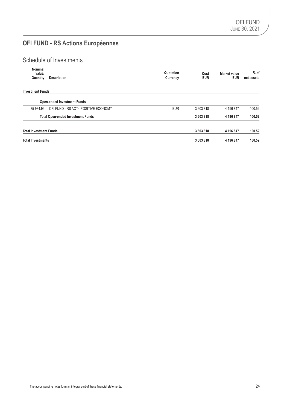## **OFI FUND - RS Actions Européennes**

## Schedule of Investments

| Nominal<br>value/             |                                          | Quotation  | Cost       | Market value | $%$ of     |
|-------------------------------|------------------------------------------|------------|------------|--------------|------------|
| Quantity                      | <b>Description</b>                       | Currency   | <b>EUR</b> | <b>EUR</b>   | net assets |
| <b>Investment Funds</b>       |                                          |            |            |              |            |
|                               | <b>Open-ended Investment Funds</b>       |            |            |              |            |
| 35 934.99                     | OFI FUND - RS ACT4 POSITIVE ECONOMY      | <b>EUR</b> | 3603818    | 4 196 847    | 100.52     |
|                               | <b>Total Open-ended Investment Funds</b> |            | 3 603 818  | 4 196 847    | 100.52     |
| <b>Total Investment Funds</b> |                                          |            | 3 603 818  | 4 196 847    | 100.52     |
| <b>Total Investments</b>      |                                          |            | 3 603 818  | 4 196 847    | 100.52     |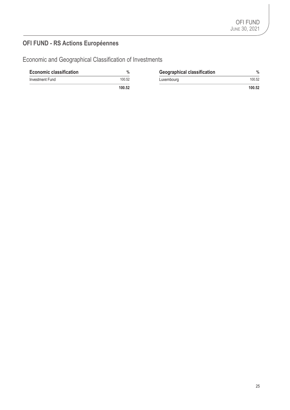## **OFI FUND - RS Actions Européennes**

Economic and Geographical Classification of Investments

| <b>Economic classification</b> | $\%$   | <b>Geographical classification</b> | $\%$   |
|--------------------------------|--------|------------------------------------|--------|
| Investment Fund                | 100.52 | Luxembourg                         | 100.52 |
|                                | 100.52 |                                    | 100.52 |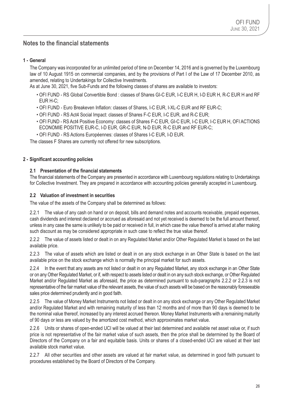### **Notes to the financial statements**

### **1 - General**

The Company was incorporated for an unlimited period of time on December 14, 2016 and is governed by the Luxembourg law of 10 August 1915 on commercial companies, and by the provisions of Part I of the Law of 17 December 2010, as amended, relating to Undertakings for Collective Investments.

As at June 30, 2021, five Sub-Funds and the following classes of shares are available to investors:

- OFI FUND RS Global Convertible Bond : classes of Shares GI-C EUR, I-C EUR H, I-D EUR H, R-C EUR H and RF EUR H-C;
- OFI FUND Euro Breakeven Inflation: classes of Shares, I-C EUR, I-XL-C EUR and RF EUR-C;
- OFI FUND RS Act4 Social Impact: classes of Shares F-C EUR, I-C EUR, and R-C EUR;
- OFI FUND RS Act4 Positive Economy: classes of Shares F-C EUR, GI-C EUR, I-C EUR, I-C EUR H, OFI ACTIONS ECONOMIE POSITIVE EUR-C, I-D EUR, GR-C EUR, N-D EUR, R-C EUR and RF EUR-C;
- OFI FUND RS Actions Européennes: classes of Shares I-C EUR, I-D EUR.

The classes F Shares are currently not offered for new subscriptions.

#### **2 - Significant accounting policies**

### **2.1 Presentation of the financial statements**

The financial statements of the Company are presented in accordance with Luxembourg regulations relating to Undertakings for Collective Investment. They are prepared in accordance with accounting policies generally accepted in Luxembourg.

#### **2.2 Valuation of investment in securities**

The value of the assets of the Company shall be determined as follows:

2.2.1 The value of any cash on hand or on deposit, bills and demand notes and accounts receivable, prepaid expenses, cash dividends and interest declared or accrued as aforesaid and not yet received is deemed to be the full amount thereof, unless in any case the same is unlikely to be paid or received in full, in which case the value thereof is arrived at after making such discount as may be considered appropriate in such case to reflect the true value thereof.

2.2.2 The value of assets listed or dealt in on any Regulated Market and/or Other Regulated Market is based on the last available price.

2.2.3 The value of assets which are listed or dealt in on any stock exchange in an Other State is based on the last available price on the stock exchange which is normally the principal market for such assets.

2.2.4 In the event that any assets are not listed or dealt in on any Regulated Market, any stock exchange in an Other State or on any Other Regulated Market, or if, with respect to assets listed or dealt in on any such stock exchange, or Other Regulated Market and/or Regulated Market as aforesaid, the price as determined pursuant to sub-paragraphs 2.2.2 or 2.2.3 is not representative of the fair market value of the relevant assets, the value of such assets will be based on the reasonably foreseeable sales price determined prudently and in good faith.

2.2.5 The value of Money Market Instruments not listed or dealt in on any stock exchange or any Other Regulated Market and/or Regulated Market and with remaining maturity of less than 12 months and of more than 90 days is deemed to be the nominal value thereof, increased by any interest accrued thereon. Money Market Instruments with a remaining maturity of 90 days or less are valued by the amortized cost method, which approximates market value.

2.2.6 Units or shares of open-ended UCI will be valued at their last determined and available net asset value or, if such price is not representative of the fair market value of such assets, then the price shall be determined by the Board of Directors of the Company on a fair and equitable basis. Units or shares of a closed-ended UCI are valued at their last available stock market value.

2.2.7 All other securities and other assets are valued at fair market value, as determined in good faith pursuant to procedures established by the Board of Directors of the Company.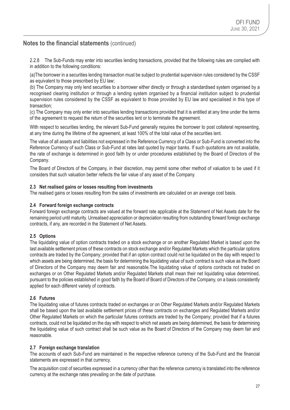2.2.8 The Sub-Funds may enter into securities lending transactions, provided that the following rules are complied with in addition to the following conditions:

(a)The borrower in a securities lending transaction must be subject to prudential supervision rules considered by the CSSF as equivalent to those prescribed by EU law;

(b) The Company may only lend securities to a borrower either directly or through a standardised system organised by a recognised clearing institution or through a lending system organised by a financial institution subject to prudential supervision rules considered by the CSSF as equivalent to those provided by EU law and specialised in this type of transaction;

(c) The Company may only enter into securities lending transactions provided that it is entitled at any time under the terms of the agreement to request the return of the securities lent or to terminate the agreement.

With respect to securities lending, the relevant Sub-Fund generally requires the borrower to post collateral representing, at any time during the lifetime of the agreement, at least 100% of the total value of the securities lent.

The value of all assets and liabilities not expressed in the Reference Currency of a Class or Sub-Fund is converted into the Reference Currency of such Class or Sub-Fund at rates last quoted by major banks. If such quotations are not available, the rate of exchange is determined in good faith by or under procedures established by the Board of Directors of the Company.

The Board of Directors of the Company, in their discretion, may permit some other method of valuation to be used if it considers that such valuation better reflects the fair value of any asset of the Company.

#### **2.3 Net realised gains or losses resulting from investments**

The realised gains or losses resulting from the sales of investments are calculated on an average cost basis.

#### **2.4 Forward foreign exchange contracts**

Forward foreign exchange contracts are valued at the forward rate applicable at the Statement of Net Assets date for the remaining period until maturity. Unrealised appreciation or depreciation resulting from outstanding forward foreign exchange contracts, if any, are recorded in the Statement of Net Assets.

#### **2.5 Options**

The liquidating value of option contracts traded on a stock exchange or on another Regulated Market is based upon the last available settlement prices of these contracts on stock exchange and/or Regulated Markets which the particular options contracts are traded by the Company; provided that if an option contract could not be liquidated on the day with respect to which assets are being determined, the basis for determining the liquidating value of such contract is such value as the Board of Directors of the Company may deem fair and reasonable.The liquidating value of options contracts not traded on exchanges or on Other Regulated Markets and/or Regulated Markets shall mean their net liquidating value determined, pursuant to the policies established in good faith by the Board of Board of Directors of the Company, on a basis consistently applied for each different variety of contracts.

#### **2.6 Futures**

The liquidating value of futures contracts traded on exchanges or on Other Regulated Markets and/or Regulated Markets shall be based upon the last available settlement prices of these contracts on exchanges and Regulated Markets and/or Other Regulated Markets on which the particular futures contracts are traded by the Company; provided that if a futures contracts, could not be liquidated on the day with respect to which net assets are being determined, the basis for determining the liquidating value of such contract shall be such value as the Board of Directors of the Company may deem fair and reasonable.

#### **2.7 Foreign exchange translation**

The accounts of each Sub-Fund are maintained in the respective reference currency of the Sub-Fund and the financial statements are expressed in that currency.

The acquisition cost of securities expressed in a currency other than the reference currency is translated into the reference currency at the exchange rates prevailing on the date of purchase.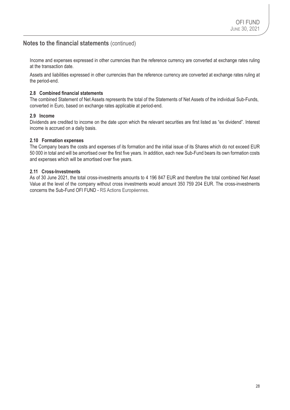Income and expenses expressed in other currencies than the reference currency are converted at exchange rates ruling at the transaction date.

Assets and liabilities expressed in other currencies than the reference currency are converted at exchange rates ruling at the period-end.

### **2.8 Combined financial statements**

The combined Statement of Net Assets represents the total of the Statements of Net Assets of the individual Sub-Funds, converted in Euro, based on exchange rates applicable at period-end.

#### **2.9 Income**

Dividends are credited to income on the date upon which the relevant securities are first listed as "ex dividend". Interest income is accrued on a daily basis.

#### **2.10 Formation expenses**

The Company bears the costs and expenses of its formation and the initial issue of its Shares which do not exceed EUR 50 000 in total and will be amortised over the first five years. In addition, each new Sub-Fund bears its own formation costs and expenses which will be amortised over five years.

### **2.11 Cross-Investments**

As of 30 June 2021, the total cross-investments amounts to 4 196 847 EUR and therefore the total combined Net Asset Value at the level of the company without cross investments would amount 350 759 204 EUR. The cross-investments concerns the Sub-Fund OFI FUND - RS Actions Européennes.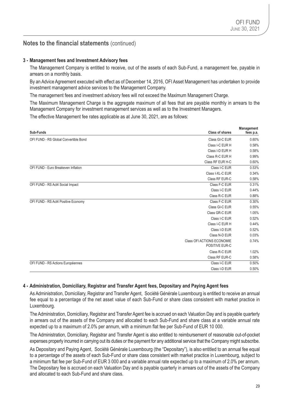#### **3 - Management fees and Investment Advisory fees**

The Management Company is entitled to receive, out of the assets of each Sub-Fund, a management fee, payable in arrears on a monthly basis.

By an Advice Agreement executed with effect as of December 14, 2016, OFI Asset Management has undertaken to provide investment management advice services to the Management Company.

The management fees and investment advisory fees will not exceed the Maximum Management Charge.

The Maximum Management Charge is the aggregate maximum of all fees that are payable monthly in arrears to the Management Company for investment management services as well as to the Investment Managers.

The effective Management fee rates applicable as at June 30, 2021, are as follows:

| <b>Class of shares</b><br>Sub-Funds                     | <b>Management</b><br>fees p.a. |
|---------------------------------------------------------|--------------------------------|
| OFI FUND - RS Global Convertible Bond<br>Class GI-C EUR | 0.60%                          |
| Class I-C EUR H                                         | 0.58%                          |
| Class I-D EUR H                                         | 0.58%                          |
|                                                         |                                |
| Class R-C EUR H                                         | 0.99%                          |
| Class RF EUR H-C                                        | 0.60%                          |
| OFI FUND - Euro Breakeven Inflation<br>Class I-C EUR    | 0.53%                          |
| Class I-XL-C EUR                                        | 0.34%                          |
| Class RF EUR-C                                          | 0.58%                          |
| Class F-C EUR<br>OFI FUND - RS Act4 Social Impact       | 0.31%                          |
| Class I-C EUR                                           | 0.44%                          |
| Class R-C EUR                                           | 0.88%                          |
| Class F-C EUR<br>OFI FUND - RS Act4 Positive Economy    | 0.30%                          |
| Class GI-C EUR                                          | 0.55%                          |
| Class GR-C EUR                                          | 1.05%                          |
| Class I-C EUR                                           | 0.52%                          |
| Class I-C EUR H                                         | 0.44%                          |
| Class I-D EUR                                           | 0.52%                          |
| Class N-D EUR                                           | 0.03%                          |
| <b>Class OFI ACTIONS ECONOMIE</b><br>POSITIVE EUR-C     | 0.74%                          |
| Class R-C EUR                                           | 1.02%                          |
| Class RF EUR-C                                          | 0.58%                          |
| OFI FUND - RS Actions Européennes<br>Class I-C EUR      | 0.50%                          |
| Class I-D EUR                                           | 0.50%                          |

#### **4 - Administration, Domiciliary, Registrar and Transfer Agent fees, Depositary and Paying Agent fees**

As Administration, Domiciliary, Registrar and Transfer Agent, Société Générale Luxembourg is entitled to receive an annual fee equal to a percentage of the net asset value of each Sub-Fund or share class consistent with market practice in Luxembourg.

The Administration, Domiciliary, Registrar and Transfer Agent fee is accrued on each Valuation Day and is payable quarterly in arrears out of the assets of the Company and allocated to each Sub-Fund and share class at a variable annual rate expected up to a maximum of 2.0% per annum, with a minimum flat fee per Sub-Fund of EUR 10 000.

The Administration, Domiciliary, Registrar and Transfer Agent is also entitled to reimbursement of reasonable out-of-pocket expenses properly incurred in carrying out its duties or the payment for any additional service that the Company might subscribe.

As Depositary and Paying Agent, Société Générale Luxembourg (the "Depositary"), is also entitled to an annual fee equal to a percentage of the assets of each Sub-Fund or share class consistent with market practice in Luxembourg, subject to a minimum flat fee per Sub-Fund of EUR 3 000 and a variable annual rate expected up to a maximum of 2.0% per annum. The Depositary fee is accrued on each Valuation Day and is payable quarterly in arrears out of the assets of the Company and allocated to each Sub-Fund and share class.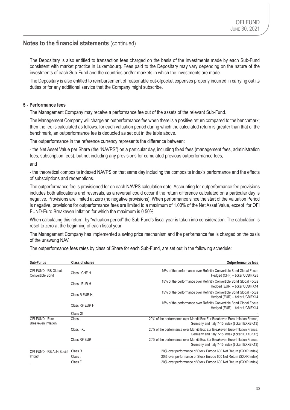The Depositary is also entitled to transaction fees charged on the basis of the investments made by each Sub-Fund consistent with market practice in Luxembourg. Fees paid to the Depositary may vary depending on the nature of the investments of each Sub-Fund and the countries and/or markets in which the investments are made.

The Depositary is also entitled to reimbursement of reasonable out-ofpocket expenses properly incurred in carrying out its duties or for any additional service that the Company might subscribe.

### **5 - Performance fees**

The Management Company may receive a performance fee out of the assets of the relevant Sub-Fund.

The Management Company will charge an outperformance fee when there is a positive return compared to the benchmark; then the fee is calculated as follows: for each valuation period during which the calculated return is greater than that of the benchmark, an outperformance fee is deducted as set out in the table above.

The outperformance in the reference currency represents the difference between:

- the Net Asset Value per Share (the "NAVPS") on a particular day, including fixed fees (management fees, administration fees, subscription fees), but not including any provisions for cumulated previous outperformance fees; and

- the theoretical composite indexed NAVPS on that same day including the composite index's performance and the effects of subscriptions and redemptions.

The outperformance fee is provisioned for on each NAVPS calculation date. Accounting for outperformance fee provisions includes both allocations and reversals, as a reversal could occur if the return difference calculated on a particular day is negative. Provisions are limited at zero (no negative provisions). When performance since the start of the Valuation Period is negative, provisions for outperformance fees are limited to a maximum of 1.00% of the Net Asset Value, except for OFI FUND-Euro Breakeven Inflation for which the maximum is 0.50%.

When calculating this return, by "valuation period" the Sub-Fund's fiscal year is taken into consideration. The calculation is reset to zero at the beginning of each fiscal year.

The Management Company has implemented a swing price mechanism and the performance fee is charged on the basis of the unswung NAV.

| Sub-Funds                                | <b>Class of shares</b> | <b>Outperformance fees</b>                                                                                                     |
|------------------------------------------|------------------------|--------------------------------------------------------------------------------------------------------------------------------|
| OFI FUND - RS Global<br>Convertible Bond | Class I CHF H          | 15% of the performance over Refinitiv Convertible Bond Global Focus<br>Hedged (CHF) - ticker UCBIFX28                          |
|                                          | Class I EUR H          | 15% of the performance over Refinitiv Convertible Bond Global Focus<br>Hedged (EUR) - ticker UCBIFX14                          |
|                                          | Class R EUR H          | 15% of the performance over Refinitiv Convertible Bond Global Focus<br>Hedged (EUR) - ticker UCBIFX14                          |
|                                          | Class RF EUR H         | 15% of the performance over Refinitiv Convertible Bond Global Focus<br>Hedged (EUR) - ticker UCBIFX14                          |
|                                          | Class GI               |                                                                                                                                |
| OFI FUND - Euro<br>Breakeven Inflation   | Class I                | 20% of the performance over Markit iBox Eur Breakeven Euro-Inflation France,<br>Germany and Italy 7-15 Index (ticker IBXXBK13) |
|                                          | Class I-XL             | 20% of the performance over Markit iBox Eur Breakeven Euro-Inflation France,<br>Germany and Italy 7-15 Index (ticker IBXXBK13) |
|                                          | <b>Class RF EUR</b>    | 20% of the performance over Markit iBox Eur Breakeven Euro-Inflation France,<br>Germany and Italy 7-15 Index (ticker IBXXBK13) |
| OFI FUND - RS Act4 Social                | Class R                | 20% over performance of Stoxx Europe 600 Net Return (SXXR Index)                                                               |
| Impact                                   | Class I                | 20% over performance of Stoxx Europe 600 Net Return (SXXR Index)                                                               |
|                                          | Class F                | 20% over performance of Stoxx Europe 600 Net Return (SXXR Index)                                                               |

The outperformance fees rates by class of Share for each Sub-Fund, are set out in the following schedule: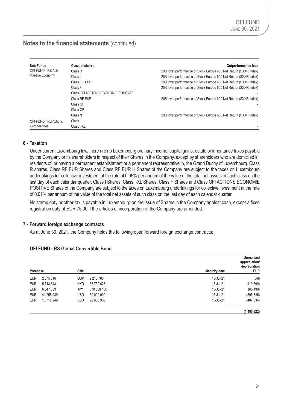| Sub-Funds             | Class of shares                     | <b>Outperformance fees</b>                                       |
|-----------------------|-------------------------------------|------------------------------------------------------------------|
| OFI FUND - RS Act4    | Class R                             | 20% over performance of Stoxx Europe 600 Net Return (SXXR Index) |
| Positive Economy      | Class I                             | 20% over performance of Stoxx Europe 600 Net Return (SXXR Index) |
|                       | Class I EUR H                       | 20% over performance of Stoxx Europe 600 Net Return (SXXR Index) |
|                       | Class F                             | 20% over performance of Stoxx Europe 600 Net Return (SXXR Index) |
|                       | Class OFI ACTIONS ECONOMIE POSITIVE |                                                                  |
|                       | Class RF EUR                        | 20% over performance of Stoxx Europe 600 Net Return (SXXR Index) |
|                       | Class GI                            |                                                                  |
|                       | Class GR                            |                                                                  |
|                       | Class N                             | 20% over performance of Stoxx Europe 600 Net Return (SXXR Index) |
| OFI FUND - RS Actions | Class I                             |                                                                  |
| Européennes           | Class I-XL                          |                                                                  |

### **6 - Taxation**

Under current Luxembourg law, there are no Luxembourg ordinary income, capital gains, estate or inheritance taxes payable by the Company or its shareholders in respect of their Shares in the Company, except by shareholders who are domiciled in, residents of, or having a permanent establishment or a permanent representative in, the Grand Duchy of Luxembourg. Class R shares, Class RF EUR Shares and Class RF EUR H Shares of the Company are subject to the taxes on Luxembourg undertakings for collective investment at the rate of 0.05% per annum of the value of the total net assets of such class on the last day of each calendar quarter. Class I Shares, Class I-XL Shares, Class F Shares and Class OFI ACTIONS ECONOMIE POSITIVE Shares of the Company are subject to the taxes on Luxembourg undertakings for collective investment at the rate of 0.01% per annum of the value of the total net assets of such class on the last day of each calendar quarter.

No stamp duty or other tax is payable in Luxembourg on the issue of Shares in the Company against cash, except a fixed registration duty of EUR 75.00 if the articles of incorporation of the Company are amended.

### **7 - Forward foreign exchange contracts**

As at June 30, 2021, the Company holds the following open forward foreign exchange contracts:

| Purchase   |            | Sale       |              | <b>Maturity date</b> | <b>Unrealised</b><br>appreciation/<br>depreciation<br><b>EUR</b> |
|------------|------------|------------|--------------|----------------------|------------------------------------------------------------------|
| <b>EUR</b> | 2575316    | <b>GBP</b> | 2 2 10 7 8 5 | 15-Jul-21            | 646                                                              |
| <b>EUR</b> | 5713548    | <b>HKD</b> | 53 732 627   | 15-Jul-21            | (119599)                                                         |
| <b>EUR</b> | 6 547 059  | JPY        | 870 508 100  | 15-Jul-21            | (65 490)                                                         |
| <b>EUR</b> | 41 255 089 | <b>USD</b> | 50 000 000   | 15-Jul-21            | (895345)                                                         |
| <b>EUR</b> | 18 718 249 | <b>USD</b> | 22 686 935   | 15-Jul-21            | (407034)                                                         |
|            |            |            |              |                      | (1486822)                                                        |

#### **OFI FUND - RS Global Convertible Bond**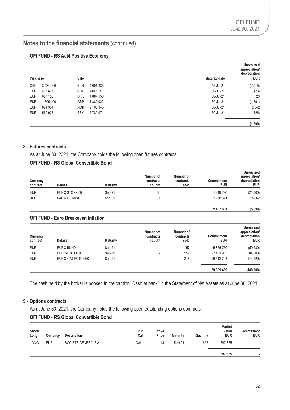### **OFI FUND - RS Act4 Positive Economy**

| Purchase   |               | Sale       |           | <b>Maturity date</b> | <b>Unrealised</b><br>appreciation/<br>depreciation<br><b>EUR</b> |
|------------|---------------|------------|-----------|----------------------|------------------------------------------------------------------|
| <b>GBP</b> | 3 4 3 4 0 0 0 | <b>EUR</b> | 4 001 235 | 15-Jul-21            | (2015)                                                           |
| <b>EUR</b> | 405 626       | <b>CHF</b> | 444 603   | 30-Jul-21            | (23)                                                             |
| <b>EUR</b> | 657 153       | <b>DKK</b> | 4 887 150 | 30-Jul-21            | 23                                                               |
| <b>EUR</b> | 1605 106      | <b>GBP</b> | 1 380 022 | 30-Jul-21            | (1591)                                                           |
| <b>EUR</b> | 894 364       | <b>NOK</b> | 9 106 343 | 30-Jul-21            | 2542                                                             |
| <b>EUR</b> | 569 928       | <b>SEK</b> | 5789074   | 30-Jul-21            | (626)                                                            |
|            |               |            |           |                      | (1690)                                                           |

### **8 - Futures contracts**

As at June 30, 2021, the Company holds the following open futures contracts:

### **OFI FUND - RS Global Convertible Bond**

| Currency<br>contract | <b>Details</b>           | <b>Maturity</b> | Number of<br>contracts<br>bought | Number of<br>contracts<br>sold | Commitment<br><b>EUR</b> | <b>Unrealised</b><br>appreciation/<br>depreciation<br><b>EUR</b> |
|----------------------|--------------------------|-----------------|----------------------------------|--------------------------------|--------------------------|------------------------------------------------------------------|
| <b>EUR</b>           | EURO STOXX 50            | Sep-21          | 30                               |                                | 1 219 290                | (21000)                                                          |
| <b>USD</b>           | <b>S&amp;P 500 EMINI</b> | Sep-21          |                                  |                                | 1 268 341                | 15 3 62                                                          |
|                      |                          |                 |                                  |                                |                          |                                                                  |

**2 487 631 (5 638)**

#### **OFI FUND - Euro Breakeven Inflation**

| Currency<br>contract | <b>Details</b>   | <b>Maturity</b> | Number of<br>contracts<br>bought | Number of<br>contracts<br>sold | <b>Commitment</b><br><b>EUR</b> | <b>Unrealised</b><br>appreciation/<br>depreciation<br><b>EUR</b> |
|----------------------|------------------|-----------------|----------------------------------|--------------------------------|---------------------------------|------------------------------------------------------------------|
| <b>EUR</b>           | <b>EURO BUND</b> | Sep-21          | $\,$                             | 57                             | 5 856 750                       | (59 280)                                                         |
| <b>EUR</b>           | EURO-BTP FUTURE  | Sep-21          | $\,$                             | 259                            | 27 431 985                      | (284900)                                                         |
| <b>EUR</b>           | EURO-OAT FUTURES | Sep-21          | $\,$                             | 216                            | 26 512 704                      | (144720)                                                         |
|                      |                  |                 |                                  |                                | 59 801 439                      | (488900)                                                         |

The cash held by the broker is booked in the caption "Cash at bank" in the Statement of Net Assets as at June 30, 2021.

### **9 - Options contracts**

As at June 30, 2021, the Company holds the following open outstanding options contracts:

### **OFI FUND - RS Global Convertible Bond**

| Short/<br>Long | Currency   | <b>Description</b> | Put/<br>Call | <b>Strike</b><br>Price | <b>Maturity</b> | Quantity | <b>Market</b><br>value<br><b>EUR</b> | <b>Commitment</b><br><b>EUR</b> |
|----------------|------------|--------------------|--------------|------------------------|-----------------|----------|--------------------------------------|---------------------------------|
| <b>LONG</b>    | <b>EUR</b> | SOCIETE GENERALE A | CALL         | 14                     | Dec-21          | 635      | 697 865                              |                                 |
|                |            |                    |              |                        |                 |          | 697 865                              |                                 |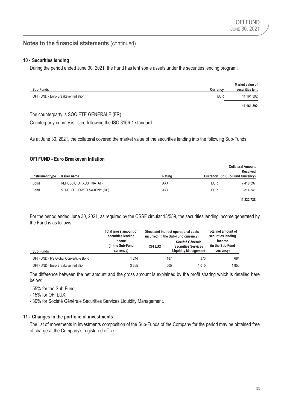#### **10 - Securities lending**

During the period ended June 30, 2021, the Fund has lent some assets under the securities lending program:

| <b>Sub-Funds</b>                    | <b>Currency</b> | Market value of<br>securities lent |
|-------------------------------------|-----------------|------------------------------------|
| OFI FUND - Euro Breakeven Inflation | <b>EUR</b>      | 11 161 392                         |
|                                     |                 | 11 161 392                         |

The counterparty is SOCIETE GENERALE (FR).

Counterparty country is listed following the ISO 3166-1 standard.

As at June 30, 2021, the collateral covered the market value of the securities lending into the following Sub-Funds:

#### **OFI FUND - Euro Breakeven Inflation**

|                 |                            |        |            | <b>Collateral Amount</b><br>Received |
|-----------------|----------------------------|--------|------------|--------------------------------------|
| Instrument type | <b>Issuer name</b>         | Rating | Currency   | (in Sub-Fund Currency)               |
| Bond            | REPUBLIC OF AUSTRIA (AT)   | AA+    | <b>EUR</b> | 7 418 397                            |
| Bond            | STATE OF LOWER SAXONY (DE) | AAA    | <b>EUR</b> | 3 8 14 3 4 1                         |
|                 |                            |        |            | 11 232 738                           |

For the period ended June 30, 2021, as required by the CSSF circular 13/559, the securities lending income generated by the Fund is as follows:

| Total gross amount of<br>securities lending<br>income<br>(in the Sub-Fund<br>currency)<br>Sub-Funds |               |  | Direct and indirect operational costs<br>incurred (in the Sub-Fund currency)  |      | Total net amount of<br>securities lending<br>income<br>(in the Sub-Fund)<br>currency) |  |
|-----------------------------------------------------------------------------------------------------|---------------|--|-------------------------------------------------------------------------------|------|---------------------------------------------------------------------------------------|--|
|                                                                                                     | <b>OFILUX</b> |  | Société Générale<br><b>Securities Services</b><br><b>Liquidity Management</b> |      |                                                                                       |  |
| OFI FUND - RS Global Convertible Bond                                                               | 1 244         |  | 187                                                                           | 373  | 684                                                                                   |  |
| OFI FUND - Euro Breakeven Inflation                                                                 | 3 3 6 5       |  | 505                                                                           | 1010 | 1850                                                                                  |  |

The difference between the net amount and the gross amount is explained by the profit sharing which is detailed here below:

- 55% for the Sub-Fund;

- 15% for OFI LUX;

- 30% for Société Générale Securities Services Liquidity Management.

#### **11 - Changes in the portfolio of investments**

The list of movements in investments composition of the Sub-Funds of the Company for the period may be obtained free of charge at the Company's registered office.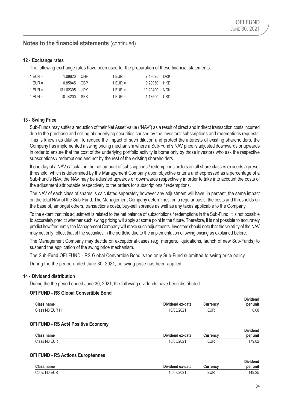### **12 - Exchange rates**

The following exchange rates have been used for the preparation of these financial statements:

| 1 EUR = | 1.09620 CHF   | 1 FUR $=$ | 7.43625 DKK  |  |
|---------|---------------|-----------|--------------|--|
| 1 FUR = | 0.85845 GBP   | 1 FUR $=$ | 9.20950 HKD  |  |
| 1 FUR = | 131.62305 JPY | 1 FUR $=$ | 10.20490 NOK |  |
| 1 EUR = | 10.14200 SFK  | 1 EUR =   | 1.18590 USD  |  |

### **13 - Swing Price**

Sub-Funds may suffer a reduction of their Net Asset Value ("NAV") as a result of direct and indirect transaction costs incurred due to the purchase and selling of underlying securities caused by the investors' subscriptions and redemptions requests. This is known as dilution. To reduce the impact of such dilution and protect the interests of existing shareholders, the Company has implemented a swing pricing mechanism where a Sub-Fund's NAV price is adjusted downwards or upwards in order to ensure that the cost of the underlying portfolio activity is borne only by those investors who ask the respective subscriptions / redemptions and not by the rest of the existing shareholders.

If one day of a NAV calculation the net amount of subscriptions / redemptions orders on all share classes exceeds a preset threshold, which is determined by the Management Company upon objective criteria and expressed as a percentage of a Sub-Fund's NAV, the NAV may be adjusted upwards or downwards respectively in order to take into account the costs of the adjustment attributable respectively to the orders for subscriptions / redemptions.

The NAV of each class of shares is calculated separately however any adjustment will have, in percent, the same impact on the total NAV of the Sub-Fund. The Management Company determines, on a regular basis, the costs and thresholds on the base of, amongst others, transactions costs, buy-sell spreads as well as any taxes applicable to the Company.

To the extent that this adjustment is related to the net balance of subscriptions / redemptions in the Sub-Fund, it is not possible to accurately predict whether such swing pricing will apply at some point in the future. Therefore, it is not possible to accurately predict how frequently the Management Company will make such adjustments. Investors should note that the volatility of the NAV may not only reflect that of the securities in the portfolio due to the implementation of swing pricing as explained before.

The Management Company may decide on exceptional cases (e.g. mergers, liquidations, launch of new Sub-Funds) to suspend the application of the swing price mechanism.

The Sub-Fund OFI FUND - RS Global Convertible Bond is the only Sub-Fund submitted to swing price policy.

During the the period ended June 30, 2021, no swing price has been applied.

#### **14 - Dividend distribution**

During the the period ended June 30, 2021, the following dividends have been distributed:

### **OFI FUND - RS Global Convertible Bond**

| Class name                                 | Dividend ex-date | Currency   | <b>Dividend</b><br>per unit |
|--------------------------------------------|------------------|------------|-----------------------------|
| Class I-D EUR H                            | 16/03/2021       | <b>EUR</b> | 0.68                        |
| <b>OFI FUND - RS Act4 Positive Economy</b> |                  |            |                             |
| <b>Class name</b>                          | Dividend ex-date | Currency   | <b>Dividend</b><br>per unit |
| Class I-D EUR                              | 16/03/2021       | <b>EUR</b> | 179.02                      |
|                                            |                  |            |                             |

### **OFI FUND - RS Actions Européennes**

|                   |                  |            | <b>Dividend</b> |
|-------------------|------------------|------------|-----------------|
| <b>Class name</b> | Dividend ex-date | Currency   | per unit        |
| Class I-D EUR     | 16/03/2021       | <b>EUR</b> | 149.25          |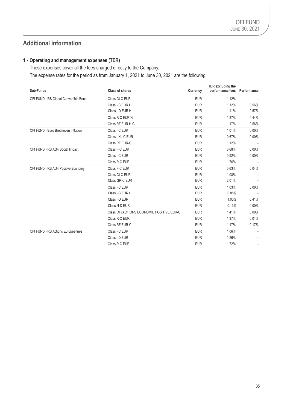## **Additional information**

### **1 - Operating and management expenses (TER)**

These expenses cover all the fees charged directly to the Company. The expense rates for the period as from January 1, 2021 to June 30, 2021 are the following:

| Sub-Funds                             | <b>Class of shares</b>                    | Currency   | TER excluding the<br>performance fees | Performance |
|---------------------------------------|-------------------------------------------|------------|---------------------------------------|-------------|
| OFI FUND - RS Global Convertible Bond | Class GI-C EUR                            | <b>EUR</b> | 1.12%                                 |             |
|                                       | Class I-C EUR H                           | <b>EUR</b> | 1.12%                                 | 0.56%       |
|                                       | Class I-D EUR H                           | <b>EUR</b> | 1.11%                                 | 0.57%       |
|                                       | Class R-C EUR H                           | <b>EUR</b> | 1.87%                                 | 0.44%       |
|                                       | Class RF EUR H-C                          | <b>EUR</b> | 1.17%                                 | 0.56%       |
| OFI FUND - Euro Breakeven Inflation   | Class I-C EUR                             | <b>EUR</b> | 1.01%                                 | $0.00\%$    |
|                                       | Class I-XL-C EUR                          | <b>EUR</b> | 0.67%                                 | 0.00%       |
|                                       | Class RF EUR-C                            | <b>EUR</b> | 1.12%                                 |             |
| OFI FUND - RS Act4 Social Impact      | Class F-C EUR                             | <b>EUR</b> | 0.68%                                 | $0.00\%$    |
|                                       | Class I-C EUR                             | <b>EUR</b> | 0.92%                                 | 0.00%       |
|                                       | Class R-C EUR                             | <b>EUR</b> | 1.76%                                 |             |
| OFI FUND - RS Act4 Positive Economy   | Class F-C EUR                             | <b>EUR</b> | 0.63%                                 | 0.04%       |
|                                       | Class GI-C EUR                            | <b>EUR</b> | 1.08%                                 |             |
|                                       | Class GR-C EUR                            | <b>EUR</b> | 2.01%                                 |             |
|                                       | Class I-C EUR                             | <b>EUR</b> | 1.03%                                 | 0.00%       |
|                                       | Class I-C EUR H                           | <b>EUR</b> | 0.88%                                 |             |
|                                       | Class I-D EUR                             | <b>EUR</b> | 1.03%                                 | 0.41%       |
|                                       | Class N-D EUR                             | <b>EUR</b> | 0.13%                                 | $0.00\%$    |
|                                       | Class OFI ACTIONS ECONOMIE POSITIVE EUR-C | <b>EUR</b> | 1.41%                                 | $0.00\%$    |
|                                       | Class R-C EUR                             | <b>EUR</b> | 1.97%                                 | 0.01%       |
|                                       | Class RF EUR-C                            | <b>EUR</b> | 1.17%                                 | 0.17%       |
| OFI FUND - RS Actions Européennes     | Class I-C EUR                             | <b>EUR</b> | 1.06%                                 |             |
|                                       | Class I-D EUR                             | <b>EUR</b> | 1.26%                                 |             |
|                                       | Class R-C EUR                             | <b>EUR</b> | 1.72%                                 |             |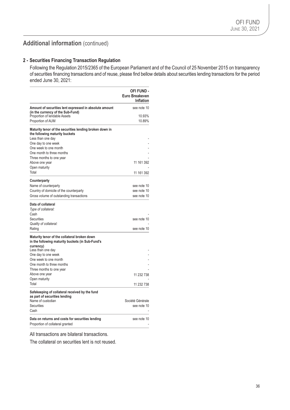## **Additional information** (continued)

#### **2 - Securities Financing Transaction Regulation**

Following the Regulation 2015/2365 of the European Parliament and of the Council of 25 November 2015 on transparency of securities financing transactions and of reuse, please find bellow details about securities lending transactions for the period ended June 30, 2021:

|                                                                                                                                    | <b>OFI FUND -</b><br>Euro Breakeven<br><b>Inflation</b> |
|------------------------------------------------------------------------------------------------------------------------------------|---------------------------------------------------------|
| Amount of securities lent expressed in absolute amount<br>(in the currency of the Sub-Fund)                                        | see note 10                                             |
| Proportion of lendable Assets                                                                                                      | 10.93%                                                  |
| Proportion of AUM                                                                                                                  | 10.89%                                                  |
| Maturity tenor of the securities lending broken down in<br>the following maturity buckets<br>Less than one day                     |                                                         |
| One day to one week                                                                                                                |                                                         |
| One week to one month                                                                                                              |                                                         |
| One month to three months                                                                                                          |                                                         |
| Three months to one year                                                                                                           |                                                         |
| Above one year                                                                                                                     | 11 161 392                                              |
| Open maturity                                                                                                                      |                                                         |
| Total                                                                                                                              | 11 161 392                                              |
| Counterparty                                                                                                                       |                                                         |
| Name of counterparty                                                                                                               | see note 10                                             |
| Country of domicile of the counterparty                                                                                            | see note 10                                             |
| Gross volume of outstanding transactions                                                                                           | see note 10                                             |
| Type of collateral:<br>Cash<br><b>Securities</b><br>Quality of collateral:<br>Rating                                               | see note 10<br>see note 10                              |
| Maturity tenor of the collateral broken down<br>in the following maturity buckets (in Sub-Fund's<br>currencv)<br>Less than one day |                                                         |
| One day to one week                                                                                                                |                                                         |
| One week to one month                                                                                                              |                                                         |
| One month to three months                                                                                                          |                                                         |
| Three months to one year                                                                                                           |                                                         |
| Above one year                                                                                                                     | 11 232 738                                              |
| Open maturity                                                                                                                      |                                                         |
| Total                                                                                                                              | 11 232 738                                              |
| Safekeeping of collateral received by the fund<br>as part of securities lending                                                    |                                                         |
| Name of custodian                                                                                                                  | Société Générale                                        |
| <b>Securities</b>                                                                                                                  | see note 10                                             |
| Cash                                                                                                                               |                                                         |
| Data on returns and costs for securities lending<br>Proportion of collateral granted                                               | see note 10                                             |

All transactions are bilateral transactions.

The collateral on securities lent is not reused.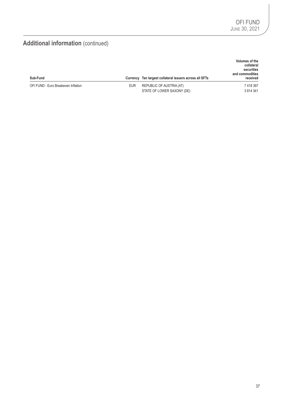## **Additional information** (continued)

|                                     |            |                                                         | Volumes of the<br>collateral<br>securities<br>and commodities |
|-------------------------------------|------------|---------------------------------------------------------|---------------------------------------------------------------|
| Sub-Fund                            |            | Currency Ten largest collateral issuers across all SFTs | received                                                      |
| OFI FUND - Euro Breakeven Inflation | <b>EUR</b> | REPUBLIC OF AUSTRIA (AT)                                | 7 418 397                                                     |
|                                     |            | STATE OF LOWER SAXONY (DE)                              | 3 8 14 3 4 1                                                  |